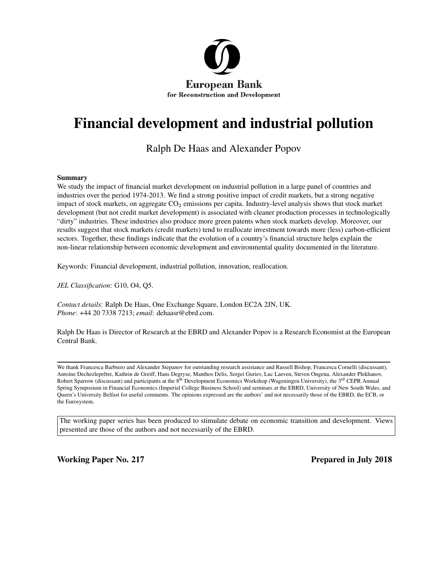

# Financial development and industrial pollution

Ralph De Haas and Alexander Popov

#### Summary

We study the impact of financial market development on industrial pollution in a large panel of countries and industries over the period 1974-2013. We find a strong positive impact of credit markets, but a strong negative impact of stock markets, on aggregate  $CO<sub>2</sub>$  emissions per capita. Industry-level analysis shows that stock market development (but not credit market development) is associated with cleaner production processes in technologically "dirty" industries. These industries also produce more green patents when stock markets develop. Moreover, our results suggest that stock markets (credit markets) tend to reallocate investment towards more (less) carbon-efficient sectors. Together, these findings indicate that the evolution of a country's financial structure helps explain the non-linear relationship between economic development and environmental quality documented in the literature.

Keywords: Financial development, industrial pollution, innovation, reallocation.

*JEL Classification*: G10, O4, Q5.

*Contact details*: Ralph De Haas, One Exchange Square, London EC2A 2JN, UK. *Phone*: +44 20 7338 7213; *email*: dehaasr@ebrd.com.

Ralph De Haas is Director of Research at the EBRD and Alexander Popov is a Research Economist at the European Central Bank.

We thank Francesca Barbiero and Alexander Stepanov for outstanding research assistance and Russell Bishop, Francesca Cornelli (discussant), Antoine Dechezleprêtre, Kathrin de Greiff, Hans Degryse, Manthos Delis, Sergei Guriev, Luc Laeven, Steven Ongena, Alexander Plekhanov, Robert Sparrow (discussant) and participants at the 8<sup>th</sup> Development Economics Workshop (Wageningen University), the <sup>3rd</sup> CEPR Annual Spring Symposium in Financial Economics (Imperial College Business School) and seminars at the EBRD, University of New South Wales, and Queen's University Belfast for useful comments. The opinions expressed are the authors' and not necessarily those of the EBRD, the ECB, or the Eurosystem.

The working paper series has been produced to stimulate debate on economic transition and development. Views presented are those of the authors and not necessarily of the EBRD.

Working Paper No. 217 **Prepared in July 2018**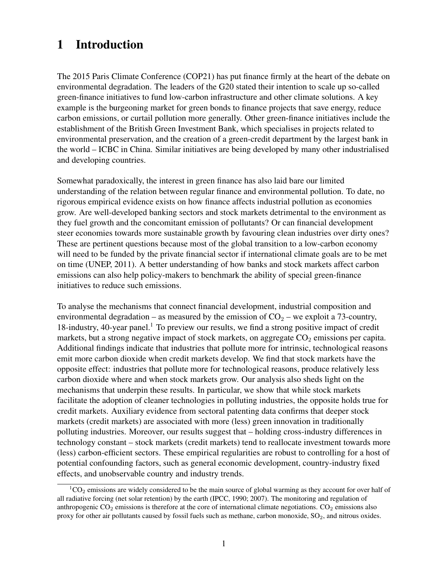# 1 Introduction

The 2015 Paris Climate Conference (COP21) has put finance firmly at the heart of the debate on environmental degradation. The leaders of the G20 stated their intention to scale up so-called green-finance initiatives to fund low-carbon infrastructure and other climate solutions. A key example is the burgeoning market for green bonds to finance projects that save energy, reduce carbon emissions, or curtail pollution more generally. Other green-finance initiatives include the establishment of the British Green Investment Bank, which specialises in projects related to environmental preservation, and the creation of a green-credit department by the largest bank in the world – ICBC in China. Similar initiatives are being developed by many other industrialised and developing countries.

Somewhat paradoxically, the interest in green finance has also laid bare our limited understanding of the relation between regular finance and environmental pollution. To date, no rigorous empirical evidence exists on how finance affects industrial pollution as economies grow. Are well-developed banking sectors and stock markets detrimental to the environment as they fuel growth and the concomitant emission of pollutants? Or can financial development steer economies towards more sustainable growth by favouring clean industries over dirty ones? These are pertinent questions because most of the global transition to a low-carbon economy will need to be funded by the private financial sector if international climate goals are to be met on time (UNEP, 2011). A better understanding of how banks and stock markets affect carbon emissions can also help policy-makers to benchmark the ability of special green-finance initiatives to reduce such emissions.

To analyse the mechanisms that connect financial development, industrial composition and environmental degradation – as measured by the emission of  $CO<sub>2</sub>$  – we exploit a 73-country, 18-industry, 40-year panel.<sup>1</sup> To preview our results, we find a strong positive impact of credit markets, but a strong negative impact of stock markets, on aggregate  $CO<sub>2</sub>$  emissions per capita. Additional findings indicate that industries that pollute more for intrinsic, technological reasons emit more carbon dioxide when credit markets develop. We find that stock markets have the opposite effect: industries that pollute more for technological reasons, produce relatively less carbon dioxide where and when stock markets grow. Our analysis also sheds light on the mechanisms that underpin these results. In particular, we show that while stock markets facilitate the adoption of cleaner technologies in polluting industries, the opposite holds true for credit markets. Auxiliary evidence from sectoral patenting data confirms that deeper stock markets (credit markets) are associated with more (less) green innovation in traditionally polluting industries. Moreover, our results suggest that – holding cross-industry differences in technology constant – stock markets (credit markets) tend to reallocate investment towards more (less) carbon-efficient sectors. These empirical regularities are robust to controlling for a host of potential confounding factors, such as general economic development, country-industry fixed effects, and unobservable country and industry trends.

 ${}^{1}CO_{2}$  emissions are widely considered to be the main source of global warming as they account for over half of all radiative forcing (net solar retention) by the earth (IPCC, 1990; 2007). The monitoring and regulation of anthropogenic  $CO_2$  emissions is therefore at the core of international climate negotiations.  $CO_2$  emissions also proxy for other air pollutants caused by fossil fuels such as methane, carbon monoxide, SO<sub>2</sub>, and nitrous oxides.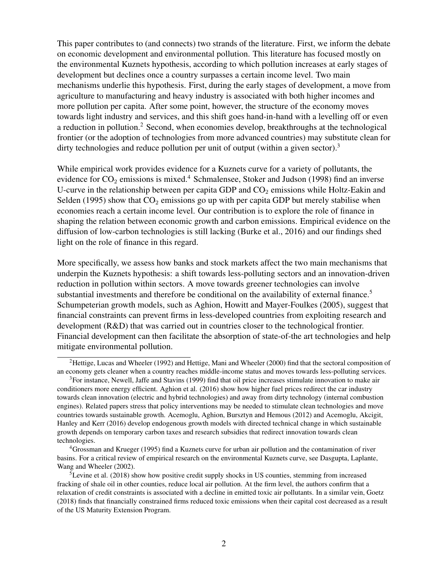This paper contributes to (and connects) two strands of the literature. First, we inform the debate on economic development and environmental pollution. This literature has focused mostly on the environmental Kuznets hypothesis, according to which pollution increases at early stages of development but declines once a country surpasses a certain income level. Two main mechanisms underlie this hypothesis. First, during the early stages of development, a move from agriculture to manufacturing and heavy industry is associated with both higher incomes and more pollution per capita. After some point, however, the structure of the economy moves towards light industry and services, and this shift goes hand-in-hand with a levelling off or even a reduction in pollution.<sup>2</sup> Second, when economies develop, breakthroughs at the technological frontier (or the adoption of technologies from more advanced countries) may substitute clean for dirty technologies and reduce pollution per unit of output (within a given sector).<sup>3</sup>

While empirical work provides evidence for a Kuznets curve for a variety of pollutants, the evidence for  $CO_2$  emissions is mixed.<sup>4</sup> Schmalensee, Stoker and Judson (1998) find an inverse U-curve in the relationship between per capita GDP and  $CO<sub>2</sub>$  emissions while Holtz-Eakin and Selden (1995) show that  $CO_2$  emissions go up with per capita GDP but merely stabilise when economies reach a certain income level. Our contribution is to explore the role of finance in shaping the relation between economic growth and carbon emissions. Empirical evidence on the diffusion of low-carbon technologies is still lacking (Burke et al., 2016) and our findings shed light on the role of finance in this regard.

More specifically, we assess how banks and stock markets affect the two main mechanisms that underpin the Kuznets hypothesis: a shift towards less-polluting sectors and an innovation-driven reduction in pollution within sectors. A move towards greener technologies can involve substantial investments and therefore be conditional on the availability of external finance.<sup>5</sup> Schumpeterian growth models, such as Aghion, Howitt and Mayer-Foulkes (2005), suggest that financial constraints can prevent firms in less-developed countries from exploiting research and development (R&D) that was carried out in countries closer to the technological frontier. Financial development can then facilitate the absorption of state-of-the art technologies and help mitigate environmental pollution.

<sup>&</sup>lt;sup>2</sup>Hettige, Lucas and Wheeler (1992) and Hettige, Mani and Wheeler (2000) find that the sectoral composition of an economy gets cleaner when a country reaches middle-income status and moves towards less-polluting services.

<sup>&</sup>lt;sup>3</sup>For instance, Newell, Jaffe and Stavins (1999) find that oil price increases stimulate innovation to make air conditioners more energy efficient. Aghion et al. (2016) show how higher fuel prices redirect the car industry towards clean innovation (electric and hybrid technologies) and away from dirty technology (internal combustion engines). Related papers stress that policy interventions may be needed to stimulate clean technologies and move countries towards sustainable growth. Acemoglu, Aghion, Bursztyn and Hemous (2012) and Acemoglu, Akcigit, Hanley and Kerr (2016) develop endogenous growth models with directed technical change in which sustainable growth depends on temporary carbon taxes and research subsidies that redirect innovation towards clean technologies.

<sup>4</sup>Grossman and Krueger (1995) find a Kuznets curve for urban air pollution and the contamination of river basins. For a critical review of empirical research on the environmental Kuznets curve, see Dasgupta, Laplante, Wang and Wheeler (2002).

<sup>&</sup>lt;sup>5</sup>Levine et al. (2018) show how positive credit supply shocks in US counties, stemming from increased fracking of shale oil in other counties, reduce local air pollution. At the firm level, the authors confirm that a relaxation of credit constraints is associated with a decline in emitted toxic air pollutants. In a similar vein, Goetz (2018) finds that financially constrained firms reduced toxic emissions when their capital cost decreased as a result of the US Maturity Extension Program.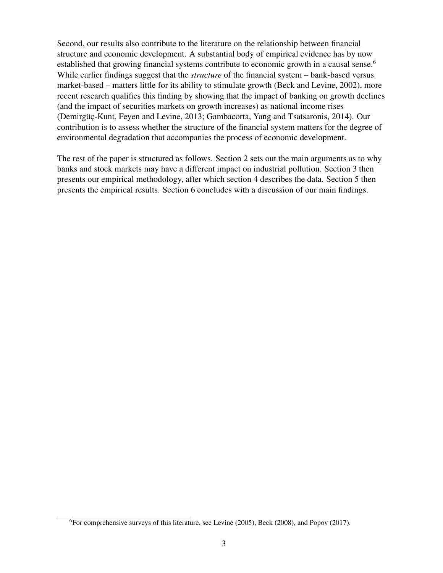Second, our results also contribute to the literature on the relationship between financial structure and economic development. A substantial body of empirical evidence has by now established that growing financial systems contribute to economic growth in a causal sense.<sup>6</sup> While earlier findings suggest that the *structure* of the financial system – bank-based versus market-based – matters little for its ability to stimulate growth (Beck and Levine, 2002), more recent research qualifies this finding by showing that the impact of banking on growth declines (and the impact of securities markets on growth increases) as national income rises (Demirgüç-Kunt, Feyen and Levine, 2013; Gambacorta, Yang and Tsatsaronis, 2014). Our contribution is to assess whether the structure of the financial system matters for the degree of environmental degradation that accompanies the process of economic development.

The rest of the paper is structured as follows. Section 2 sets out the main arguments as to why banks and stock markets may have a different impact on industrial pollution. Section 3 then presents our empirical methodology, after which section 4 describes the data. Section 5 then presents the empirical results. Section 6 concludes with a discussion of our main findings.

 $6$ For comprehensive surveys of this literature, see Levine (2005), Beck (2008), and Popov (2017).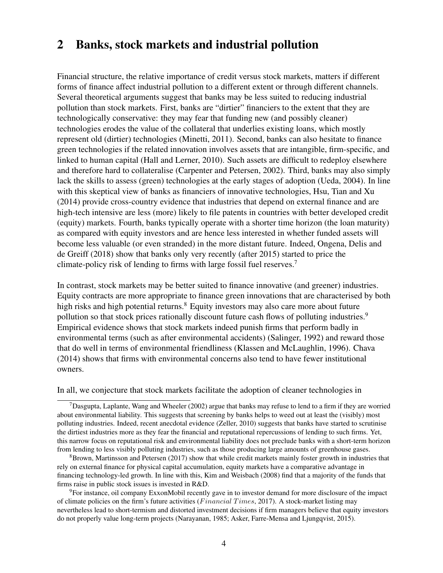# 2 Banks, stock markets and industrial pollution

Financial structure, the relative importance of credit versus stock markets, matters if different forms of finance affect industrial pollution to a different extent or through different channels. Several theoretical arguments suggest that banks may be less suited to reducing industrial pollution than stock markets. First, banks are "dirtier" financiers to the extent that they are technologically conservative: they may fear that funding new (and possibly cleaner) technologies erodes the value of the collateral that underlies existing loans, which mostly represent old (dirtier) technologies (Minetti, 2011). Second, banks can also hesitate to finance green technologies if the related innovation involves assets that are intangible, firm-specific, and linked to human capital (Hall and Lerner, 2010). Such assets are difficult to redeploy elsewhere and therefore hard to collateralise (Carpenter and Petersen, 2002). Third, banks may also simply lack the skills to assess (green) technologies at the early stages of adoption (Ueda, 2004). In line with this skeptical view of banks as financiers of innovative technologies, Hsu, Tian and Xu (2014) provide cross-country evidence that industries that depend on external finance and are high-tech intensive are less (more) likely to file patents in countries with better developed credit (equity) markets. Fourth, banks typically operate with a shorter time horizon (the loan maturity) as compared with equity investors and are hence less interested in whether funded assets will become less valuable (or even stranded) in the more distant future. Indeed, Ongena, Delis and de Greiff (2018) show that banks only very recently (after 2015) started to price the climate-policy risk of lending to firms with large fossil fuel reserves.<sup>7</sup>

In contrast, stock markets may be better suited to finance innovative (and greener) industries. Equity contracts are more appropriate to finance green innovations that are characterised by both high risks and high potential returns. $8$  Equity investors may also care more about future pollution so that stock prices rationally discount future cash flows of polluting industries.<sup>9</sup> Empirical evidence shows that stock markets indeed punish firms that perform badly in environmental terms (such as after environmental accidents) (Salinger, 1992) and reward those that do well in terms of environmental friendliness (Klassen and McLaughlin, 1996). Chava (2014) shows that firms with environmental concerns also tend to have fewer institutional owners.

In all, we conjecture that stock markets facilitate the adoption of cleaner technologies in

<sup>9</sup>For instance, oil company ExxonMobil recently gave in to investor demand for more disclosure of the impact of climate policies on the firm's future activities (*Financial Times*, 2017). A stock-market listing may nevertheless lead to short-termism and distorted investment decisions if firm managers believe that equity investors do not properly value long-term projects (Narayanan, 1985; Asker, Farre-Mensa and Ljungqvist, 2015).

 $7$ Dasgupta, Laplante, Wang and Wheeler (2002) argue that banks may refuse to lend to a firm if they are worried about environmental liability. This suggests that screening by banks helps to weed out at least the (visibly) most polluting industries. Indeed, recent anecdotal evidence (Zeller, 2010) suggests that banks have started to scrutinise the dirtiest industries more as they fear the financial and reputational repercussions of lending to such firms. Yet, this narrow focus on reputational risk and environmental liability does not preclude banks with a short-term horizon from lending to less visibly polluting industries, such as those producing large amounts of greenhouse gases.

<sup>&</sup>lt;sup>8</sup>Brown, Martinsson and Petersen (2017) show that while credit markets mainly foster growth in industries that rely on external finance for physical capital accumulation, equity markets have a comparative advantage in financing technology-led growth. In line with this, Kim and Weisbach (2008) find that a majority of the funds that firms raise in public stock issues is invested in R&D.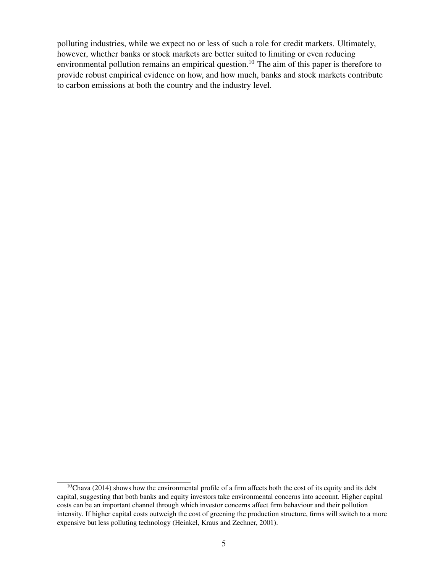polluting industries, while we expect no or less of such a role for credit markets. Ultimately, however, whether banks or stock markets are better suited to limiting or even reducing environmental pollution remains an empirical question.<sup>10</sup> The aim of this paper is therefore to provide robust empirical evidence on how, and how much, banks and stock markets contribute to carbon emissions at both the country and the industry level.

<sup>&</sup>lt;sup>10</sup>Chava (2014) shows how the environmental profile of a firm affects both the cost of its equity and its debt capital, suggesting that both banks and equity investors take environmental concerns into account. Higher capital costs can be an important channel through which investor concerns affect firm behaviour and their pollution intensity. If higher capital costs outweigh the cost of greening the production structure, firms will switch to a more expensive but less polluting technology (Heinkel, Kraus and Zechner, 2001).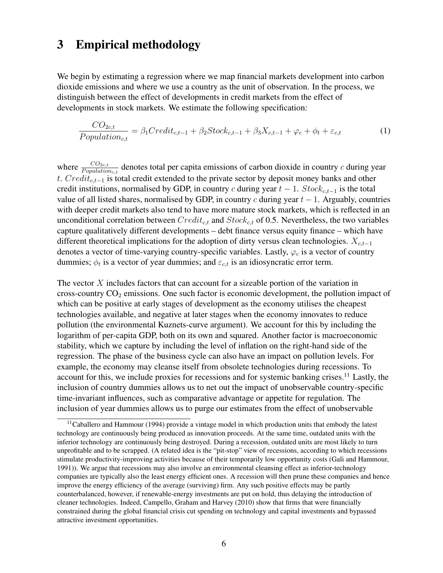# 3 Empirical methodology

We begin by estimating a regression where we map financial markets development into carbon dioxide emissions and where we use a country as the unit of observation. In the process, we distinguish between the effect of developments in credit markets from the effect of developments in stock markets. We estimate the following specification:

$$
\frac{CO_{2c,t}}{Population_{c,t}} = \beta_1 Credit_{c,t-1} + \beta_2 Stock_{c,t-1} + \beta_3 X_{c,t-1} + \varphi_c + \phi_t + \varepsilon_{c,t}
$$
\n(1)

where  $\frac{CO_{2c,t}}{Population_{c,t}}$  denotes total per capita emissions of carbon dioxide in country c during year t. Credit<sub>c,t−1</sub> is total credit extended to the private sector by deposit money banks and other credit institutions, normalised by GDP, in country c during year  $t - 1$ . Stock<sub>c,t−1</sub> is the total value of all listed shares, normalised by GDP, in country c during year  $t - 1$ . Arguably, countries with deeper credit markets also tend to have more mature stock markets, which is reflected in an unconditional correlation between  $Credit_{c,t}$  and  $Stock_{c,t}$  of 0.5. Nevertheless, the two variables capture qualitatively different developments – debt finance versus equity finance – which have different theoretical implications for the adoption of dirty versus clean technologies.  $X_{c,t-1}$ denotes a vector of time-varying country-specific variables. Lastly,  $\varphi_c$  is a vector of country dummies;  $\phi_t$  is a vector of year dummies; and  $\varepsilon_{c,t}$  is an idiosyncratic error term.

The vector  $X$  includes factors that can account for a sizeable portion of the variation in cross-country  $CO<sub>2</sub>$  emissions. One such factor is economic development, the pollution impact of which can be positive at early stages of development as the economy utilises the cheapest technologies available, and negative at later stages when the economy innovates to reduce pollution (the environmental Kuznets-curve argument). We account for this by including the logarithm of per-capita GDP, both on its own and squared. Another factor is macroeconomic stability, which we capture by including the level of inflation on the right-hand side of the regression. The phase of the business cycle can also have an impact on pollution levels. For example, the economy may cleanse itself from obsolete technologies during recessions. To account for this, we include proxies for recessions and for systemic banking crises.<sup>11</sup> Lastly, the inclusion of country dummies allows us to net out the impact of unobservable country-specific time-invariant influences, such as comparative advantage or appetite for regulation. The inclusion of year dummies allows us to purge our estimates from the effect of unobservable

 $<sup>11</sup>$ Caballero and Hammour (1994) provide a vintage model in which production units that embody the latest</sup> technology are continuously being produced as innovation proceeds. At the same time, outdated units with the inferior technology are continuously being destroyed. During a recession, outdated units are most likely to turn unprofitable and to be scrapped. (A related idea is the "pit-stop" view of recessions, according to which recessions stimulate productivity-improving activities because of their temporarily low opportunity costs (Gali and Hammour, 1991)). We argue that recessions may also involve an environmental cleansing effect as inferior-technology companies are typically also the least energy efficient ones. A recession will then prune these companies and hence improve the energy efficiency of the average (surviving) firm. Any such positive effects may be partly counterbalanced, however, if renewable-energy investments are put on hold, thus delaying the introduction of cleaner technologies. Indeed, Campello, Graham and Harvey (2010) show that firms that were financially constrained during the global financial crisis cut spending on technology and capital investments and bypassed attractive investment opportunities.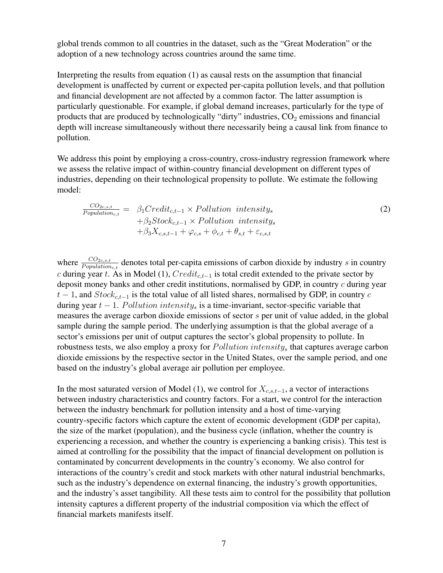global trends common to all countries in the dataset, such as the "Great Moderation" or the adoption of a new technology across countries around the same time.

Interpreting the results from equation (1) as causal rests on the assumption that financial development is unaffected by current or expected per-capita pollution levels, and that pollution and financial development are not affected by a common factor. The latter assumption is particularly questionable. For example, if global demand increases, particularly for the type of products that are produced by technologically "dirty" industries,  $CO<sub>2</sub>$  emissions and financial depth will increase simultaneously without there necessarily being a causal link from finance to pollution.

We address this point by employing a cross-country, cross-industry regression framework where we assess the relative impact of within-country financial development on different types of industries, depending on their technological propensity to pollute. We estimate the following model:

$$
\frac{CO_{2c,s,t}}{Population_{c,t}} = \beta_1 Credit_{c,t-1} \times Pollution \text{ intensity}_s
$$
  
+  $\beta_2 Stock_{c,t-1} \times Pollution \text{ intensity}_s$   
+  $\beta_3 X_{c,s,t-1} + \varphi_{c,s} + \phi_{c,t} + \theta_{s,t} + \varepsilon_{c,s,t}$  (2)

where  $\frac{CO_{2c,s,t}}{Population_{c,t}}$  denotes total per-capita emissions of carbon dioxide by industry s in country c during year t. As in Model (1),  $Credit_{c,t-1}$  is total credit extended to the private sector by deposit money banks and other credit institutions, normalised by GDP, in country  $c$  during year  $t-1$ , and  $Stock_{c,t-1}$  is the total value of all listed shares, normalised by GDP, in country c during year  $t - 1$ . Pollution intensity<sub>s</sub> is a time-invariant, sector-specific variable that measures the average carbon dioxide emissions of sector s per unit of value added, in the global sample during the sample period. The underlying assumption is that the global average of a sector's emissions per unit of output captures the sector's global propensity to pollute. In robustness tests, we also employ a proxy for  $P$ *ollution intensity<sub>s</sub>* that captures average carbon dioxide emissions by the respective sector in the United States, over the sample period, and one based on the industry's global average air pollution per employee.

In the most saturated version of Model (1), we control for  $X_{c,s,t-1}$ , a vector of interactions between industry characteristics and country factors. For a start, we control for the interaction between the industry benchmark for pollution intensity and a host of time-varying country-specific factors which capture the extent of economic development (GDP per capita), the size of the market (population), and the business cycle (inflation, whether the country is experiencing a recession, and whether the country is experiencing a banking crisis). This test is aimed at controlling for the possibility that the impact of financial development on pollution is contaminated by concurrent developments in the country's economy. We also control for interactions of the country's credit and stock markets with other natural industrial benchmarks, such as the industry's dependence on external financing, the industry's growth opportunities, and the industry's asset tangibility. All these tests aim to control for the possibility that pollution intensity captures a different property of the industrial composition via which the effect of financial markets manifests itself.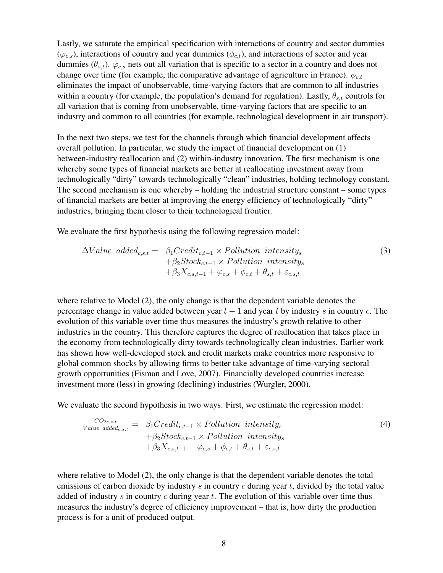Lastly, we saturate the empirical specification with interactions of country and sector dummies  $(\varphi_{c,s})$ , interactions of country and year dummies  $(\phi_{c,t})$ , and interactions of sector and year dummies  $(\theta_{s,t})$ .  $\varphi_{c,s}$  nets out all variation that is specific to a sector in a country and does not change over time (for example, the comparative advantage of agriculture in France).  $\phi_{c,t}$ eliminates the impact of unobservable, time-varying factors that are common to all industries within a country (for example, the population's demand for regulation). Lastly,  $\theta_{s,t}$  controls for all variation that is coming from unobservable, time-varying factors that are specific to an industry and common to all countries (for example, technological development in air transport).

In the next two steps, we test for the channels through which financial development affects overall pollution. In particular, we study the impact of financial development on (1) between-industry reallocation and (2) within-industry innovation. The first mechanism is one whereby some types of financial markets are better at reallocating investment away from technologically "dirty" towards technologically "clean" industries, holding technology constant. The second mechanism is one whereby – holding the industrial structure constant – some types of financial markets are better at improving the energy efficiency of technologically "dirty" industries, bringing them closer to their technological frontier.

We evaluate the first hypothesis using the following regression model:

$$
\Delta Value \ added_{c,s,t} = \beta_1 Credit_{c,t-1} \times Pollution \ intensity_s
$$
  
+  $\beta_2 Stock_{c,t-1} \times Pollution \ intensity_s$   
+  $\beta_3 X_{c,s,t-1} + \varphi_{c,s} + \phi_{c,t} + \theta_{s,t} + \varepsilon_{c,s,t}$  (3)

where relative to Model (2), the only change is that the dependent variable denotes the percentage change in value added between year  $t - 1$  and year t by industry s in country c. The evolution of this variable over time thus measures the industry's growth relative to other industries in the country. This therefore captures the degree of reallocation that takes place in the economy from technologically dirty towards technologically clean industries. Earlier work has shown how well-developed stock and credit markets make countries more responsive to global common shocks by allowing firms to better take advantage of time-varying sectoral growth opportunities (Fisman and Love, 2007). Financially developed countries increase investment more (less) in growing (declining) industries (Wurgler, 2000).

We evaluate the second hypothesis in two ways. First, we estimate the regression model:

$$
\frac{CO_{2c,s,t}}{Value \ added_{c,s,t}} = \beta_1 Credit_{c,t-1} \times Pollution \ intensity_s
$$
  
+  $\beta_2 Stock_{c,t-1} \times Pollution \ intensity_s$   
+  $\beta_3 X_{c,s,t-1} + \varphi_{c,s} + \phi_{c,t} + \theta_{s,t} + \varepsilon_{c,s,t}$  (4)

where relative to Model (2), the only change is that the dependent variable denotes the total emissions of carbon dioxide by industry s in country c during year t, divided by the total value added of industry  $s$  in country  $c$  during year  $t$ . The evolution of this variable over time thus measures the industry's degree of efficiency improvement – that is, how dirty the production process is for a unit of produced output.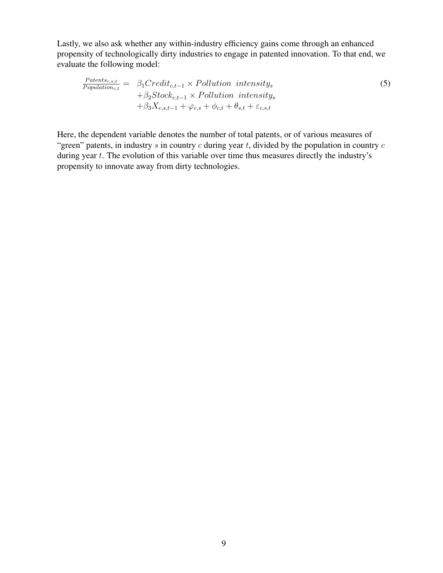Lastly, we also ask whether any within-industry efficiency gains come through an enhanced propensity of technologically dirty industries to engage in patented innovation. To that end, we evaluate the following model:

$$
\frac{Patents_{c,s,t}}{Population_{c,t}} = \beta_1 Credit_{c,t-1} \times Pollution \text{ intensity}_s
$$
  
+  $\beta_2 Stock_{c,t-1} \times Pollution \text{ intensity}_s$   
+ $\beta_3 X_{c,s,t-1} + \varphi_{c,s} + \phi_{c,t} + \theta_{s,t} + \varepsilon_{c,s,t}$  (5)

Here, the dependent variable denotes the number of total patents, or of various measures of "green" patents, in industry s in country c during year t, divided by the population in country  $c$ during year  $t$ . The evolution of this variable over time thus measures directly the industry's propensity to innovate away from dirty technologies.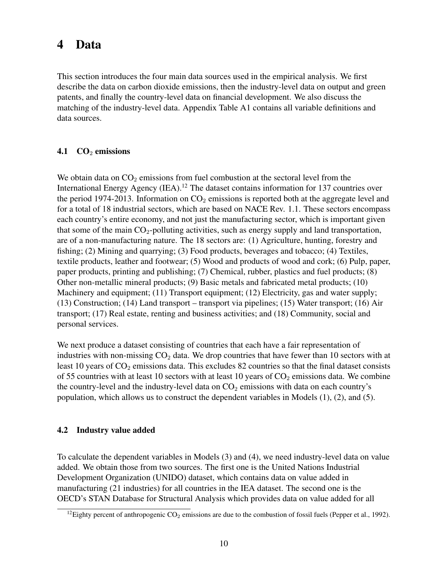# 4 Data

This section introduces the four main data sources used in the empirical analysis. We first describe the data on carbon dioxide emissions, then the industry-level data on output and green patents, and finally the country-level data on financial development. We also discuss the matching of the industry-level data. Appendix Table A1 contains all variable definitions and data sources.

### 4.1  $CO<sub>2</sub>$  emissions

We obtain data on  $CO<sub>2</sub>$  emissions from fuel combustion at the sectoral level from the International Energy Agency (IEA).<sup>12</sup> The dataset contains information for 137 countries over the period 1974-2013. Information on  $CO_2$  emissions is reported both at the aggregate level and for a total of 18 industrial sectors, which are based on NACE Rev. 1.1. These sectors encompass each country's entire economy, and not just the manufacturing sector, which is important given that some of the main  $CO_2$ -polluting activities, such as energy supply and land transportation, are of a non-manufacturing nature. The 18 sectors are: (1) Agriculture, hunting, forestry and fishing; (2) Mining and quarrying; (3) Food products, beverages and tobacco; (4) Textiles, textile products, leather and footwear; (5) Wood and products of wood and cork; (6) Pulp, paper, paper products, printing and publishing; (7) Chemical, rubber, plastics and fuel products; (8) Other non-metallic mineral products; (9) Basic metals and fabricated metal products; (10) Machinery and equipment; (11) Transport equipment; (12) Electricity, gas and water supply; (13) Construction; (14) Land transport – transport via pipelines; (15) Water transport; (16) Air transport; (17) Real estate, renting and business activities; and (18) Community, social and personal services.

We next produce a dataset consisting of countries that each have a fair representation of industries with non-missing  $CO<sub>2</sub>$  data. We drop countries that have fewer than 10 sectors with at least 10 years of  $CO_2$  emissions data. This excludes 82 countries so that the final dataset consists of 55 countries with at least 10 sectors with at least 10 years of  $CO<sub>2</sub>$  emissions data. We combine the country-level and the industry-level data on  $CO<sub>2</sub>$  emissions with data on each country's population, which allows us to construct the dependent variables in Models (1), (2), and (5).

### 4.2 Industry value added

To calculate the dependent variables in Models (3) and (4), we need industry-level data on value added. We obtain those from two sources. The first one is the United Nations Industrial Development Organization (UNIDO) dataset, which contains data on value added in manufacturing (21 industries) for all countries in the IEA dataset. The second one is the OECD's STAN Database for Structural Analysis which provides data on value added for all

<sup>&</sup>lt;sup>12</sup>Eighty percent of anthropogenic  $CO_2$  emissions are due to the combustion of fossil fuels (Pepper et al., 1992).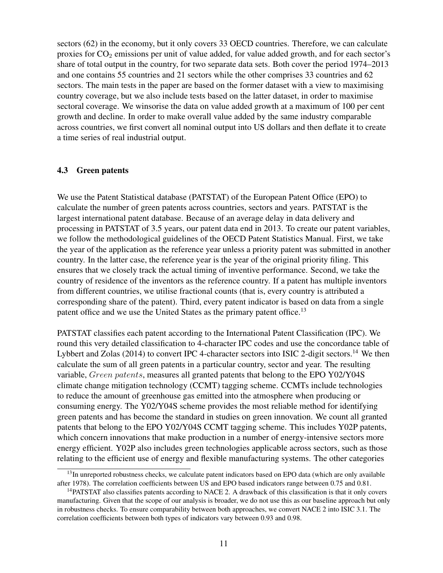sectors (62) in the economy, but it only covers 33 OECD countries. Therefore, we can calculate proxies for  $CO<sub>2</sub>$  emissions per unit of value added, for value added growth, and for each sector's share of total output in the country, for two separate data sets. Both cover the period 1974–2013 and one contains 55 countries and 21 sectors while the other comprises 33 countries and 62 sectors. The main tests in the paper are based on the former dataset with a view to maximising country coverage, but we also include tests based on the latter dataset, in order to maximise sectoral coverage. We winsorise the data on value added growth at a maximum of 100 per cent growth and decline. In order to make overall value added by the same industry comparable across countries, we first convert all nominal output into US dollars and then deflate it to create a time series of real industrial output.

### 4.3 Green patents

We use the Patent Statistical database (PATSTAT) of the European Patent Office (EPO) to calculate the number of green patents across countries, sectors and years. PATSTAT is the largest international patent database. Because of an average delay in data delivery and processing in PATSTAT of 3.5 years, our patent data end in 2013. To create our patent variables, we follow the methodological guidelines of the OECD Patent Statistics Manual. First, we take the year of the application as the reference year unless a priority patent was submitted in another country. In the latter case, the reference year is the year of the original priority filing. This ensures that we closely track the actual timing of inventive performance. Second, we take the country of residence of the inventors as the reference country. If a patent has multiple inventors from different countries, we utilise fractional counts (that is, every country is attributed a corresponding share of the patent). Third, every patent indicator is based on data from a single patent office and we use the United States as the primary patent office.<sup>13</sup>

PATSTAT classifies each patent according to the International Patent Classification (IPC). We round this very detailed classification to 4-character IPC codes and use the concordance table of Lybbert and Zolas  $(2014)$  to convert IPC 4-character sectors into ISIC 2-digit sectors.<sup>14</sup> We then calculate the sum of all green patents in a particular country, sector and year. The resulting variable, Green patents, measures all granted patents that belong to the EPO Y02/Y04S climate change mitigation technology (CCMT) tagging scheme. CCMTs include technologies to reduce the amount of greenhouse gas emitted into the atmosphere when producing or consuming energy. The Y02/Y04S scheme provides the most reliable method for identifying green patents and has become the standard in studies on green innovation. We count all granted patents that belong to the EPO Y02/Y04S CCMT tagging scheme. This includes Y02P patents, which concern innovations that make production in a number of energy-intensive sectors more energy efficient. Y02P also includes green technologies applicable across sectors, such as those relating to the efficient use of energy and flexible manufacturing systems. The other categories

 $<sup>13</sup>$ In unreported robustness checks, we calculate patent indicators based on EPO data (which are only available</sup> after 1978). The correlation coefficients between US and EPO based indicators range between 0.75 and 0.81.

 $14$ PATSTAT also classifies patents according to NACE 2. A drawback of this classification is that it only covers manufacturing. Given that the scope of our analysis is broader, we do not use this as our baseline approach but only in robustness checks. To ensure comparability between both approaches, we convert NACE 2 into ISIC 3.1. The correlation coefficients between both types of indicators vary between 0.93 and 0.98.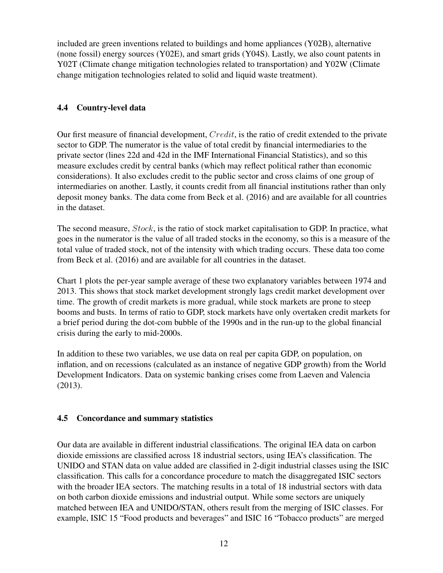included are green inventions related to buildings and home appliances (Y02B), alternative (none fossil) energy sources (Y02E), and smart grids (Y04S). Lastly, we also count patents in Y02T (Climate change mitigation technologies related to transportation) and Y02W (Climate change mitigation technologies related to solid and liquid waste treatment).

# 4.4 Country-level data

Our first measure of financial development, Credit, is the ratio of credit extended to the private sector to GDP. The numerator is the value of total credit by financial intermediaries to the private sector (lines 22d and 42d in the IMF International Financial Statistics), and so this measure excludes credit by central banks (which may reflect political rather than economic considerations). It also excludes credit to the public sector and cross claims of one group of intermediaries on another. Lastly, it counts credit from all financial institutions rather than only deposit money banks. The data come from Beck et al. (2016) and are available for all countries in the dataset.

The second measure, *Stock*, is the ratio of stock market capitalisation to GDP. In practice, what goes in the numerator is the value of all traded stocks in the economy, so this is a measure of the total value of traded stock, not of the intensity with which trading occurs. These data too come from Beck et al. (2016) and are available for all countries in the dataset.

Chart 1 plots the per-year sample average of these two explanatory variables between 1974 and 2013. This shows that stock market development strongly lags credit market development over time. The growth of credit markets is more gradual, while stock markets are prone to steep booms and busts. In terms of ratio to GDP, stock markets have only overtaken credit markets for a brief period during the dot-com bubble of the 1990s and in the run-up to the global financial crisis during the early to mid-2000s.

In addition to these two variables, we use data on real per capita GDP, on population, on inflation, and on recessions (calculated as an instance of negative GDP growth) from the World Development Indicators. Data on systemic banking crises come from Laeven and Valencia (2013).

# 4.5 Concordance and summary statistics

Our data are available in different industrial classifications. The original IEA data on carbon dioxide emissions are classified across 18 industrial sectors, using IEA's classification. The UNIDO and STAN data on value added are classified in 2-digit industrial classes using the ISIC classification. This calls for a concordance procedure to match the disaggregated ISIC sectors with the broader IEA sectors. The matching results in a total of 18 industrial sectors with data on both carbon dioxide emissions and industrial output. While some sectors are uniquely matched between IEA and UNIDO/STAN, others result from the merging of ISIC classes. For example, ISIC 15 "Food products and beverages" and ISIC 16 "Tobacco products" are merged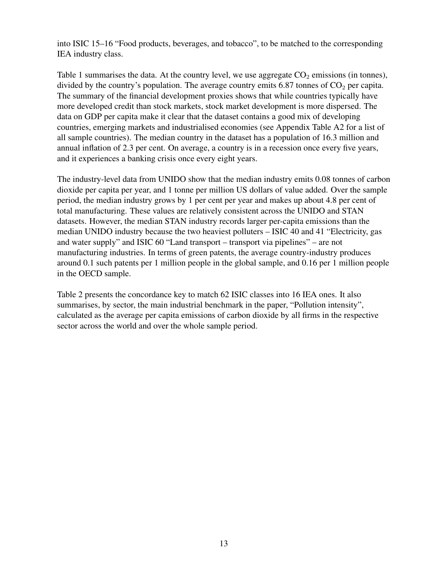into ISIC 15–16 "Food products, beverages, and tobacco", to be matched to the corresponding IEA industry class.

Table 1 summarises the data. At the country level, we use aggregate  $CO<sub>2</sub>$  emissions (in tonnes), divided by the country's population. The average country emits 6.87 tonnes of  $CO<sub>2</sub>$  per capita. The summary of the financial development proxies shows that while countries typically have more developed credit than stock markets, stock market development is more dispersed. The data on GDP per capita make it clear that the dataset contains a good mix of developing countries, emerging markets and industrialised economies (see Appendix Table A2 for a list of all sample countries). The median country in the dataset has a population of 16.3 million and annual inflation of 2.3 per cent. On average, a country is in a recession once every five years, and it experiences a banking crisis once every eight years.

The industry-level data from UNIDO show that the median industry emits 0.08 tonnes of carbon dioxide per capita per year, and 1 tonne per million US dollars of value added. Over the sample period, the median industry grows by 1 per cent per year and makes up about 4.8 per cent of total manufacturing. These values are relatively consistent across the UNIDO and STAN datasets. However, the median STAN industry records larger per-capita emissions than the median UNIDO industry because the two heaviest polluters – ISIC 40 and 41 "Electricity, gas and water supply" and ISIC 60 "Land transport – transport via pipelines" – are not manufacturing industries. In terms of green patents, the average country-industry produces around 0.1 such patents per 1 million people in the global sample, and 0.16 per 1 million people in the OECD sample.

Table 2 presents the concordance key to match 62 ISIC classes into 16 IEA ones. It also summarises, by sector, the main industrial benchmark in the paper, "Pollution intensity", calculated as the average per capita emissions of carbon dioxide by all firms in the respective sector across the world and over the whole sample period.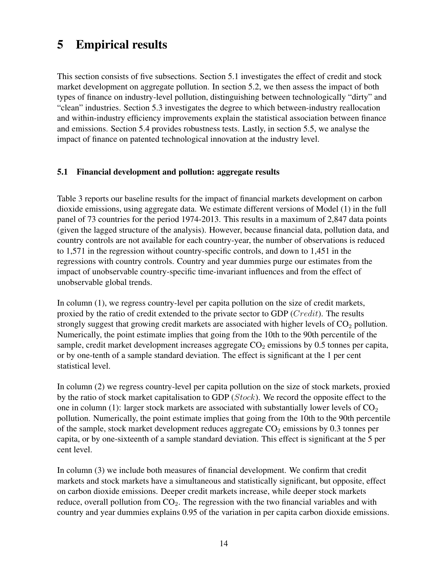# 5 Empirical results

This section consists of five subsections. Section 5.1 investigates the effect of credit and stock market development on aggregate pollution. In section 5.2, we then assess the impact of both types of finance on industry-level pollution, distinguishing between technologically "dirty" and "clean" industries. Section 5.3 investigates the degree to which between-industry reallocation and within-industry efficiency improvements explain the statistical association between finance and emissions. Section 5.4 provides robustness tests. Lastly, in section 5.5, we analyse the impact of finance on patented technological innovation at the industry level.

## 5.1 Financial development and pollution: aggregate results

Table 3 reports our baseline results for the impact of financial markets development on carbon dioxide emissions, using aggregate data. We estimate different versions of Model (1) in the full panel of 73 countries for the period 1974-2013. This results in a maximum of 2,847 data points (given the lagged structure of the analysis). However, because financial data, pollution data, and country controls are not available for each country-year, the number of observations is reduced to 1,571 in the regression without country-specific controls, and down to 1,451 in the regressions with country controls. Country and year dummies purge our estimates from the impact of unobservable country-specific time-invariant influences and from the effect of unobservable global trends.

In column (1), we regress country-level per capita pollution on the size of credit markets, proxied by the ratio of credit extended to the private sector to GDP (Credit). The results strongly suggest that growing credit markets are associated with higher levels of  $CO<sub>2</sub>$  pollution. Numerically, the point estimate implies that going from the 10th to the 90th percentile of the sample, credit market development increases aggregate  $CO<sub>2</sub>$  emissions by 0.5 tonnes per capita, or by one-tenth of a sample standard deviation. The effect is significant at the 1 per cent statistical level.

In column (2) we regress country-level per capita pollution on the size of stock markets, proxied by the ratio of stock market capitalisation to GDP (Stock). We record the opposite effect to the one in column (1): larger stock markets are associated with substantially lower levels of  $CO<sub>2</sub>$ pollution. Numerically, the point estimate implies that going from the 10th to the 90th percentile of the sample, stock market development reduces aggregate  $CO<sub>2</sub>$  emissions by 0.3 tonnes per capita, or by one-sixteenth of a sample standard deviation. This effect is significant at the 5 per cent level.

In column (3) we include both measures of financial development. We confirm that credit markets and stock markets have a simultaneous and statistically significant, but opposite, effect on carbon dioxide emissions. Deeper credit markets increase, while deeper stock markets reduce, overall pollution from  $CO<sub>2</sub>$ . The regression with the two financial variables and with country and year dummies explains 0.95 of the variation in per capita carbon dioxide emissions.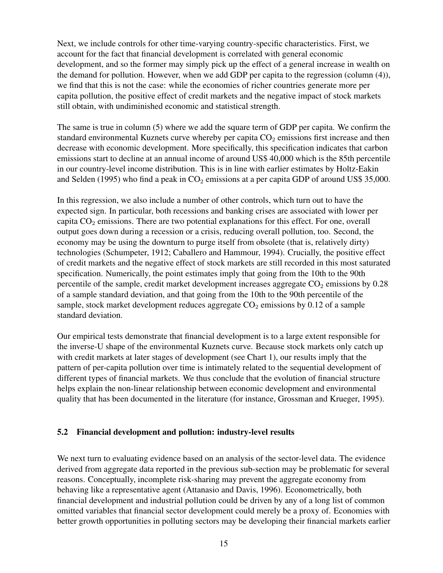Next, we include controls for other time-varying country-specific characteristics. First, we account for the fact that financial development is correlated with general economic development, and so the former may simply pick up the effect of a general increase in wealth on the demand for pollution. However, when we add GDP per capita to the regression (column (4)), we find that this is not the case: while the economies of richer countries generate more per capita pollution, the positive effect of credit markets and the negative impact of stock markets still obtain, with undiminished economic and statistical strength.

The same is true in column (5) where we add the square term of GDP per capita. We confirm the standard environmental Kuznets curve whereby per capita  $CO<sub>2</sub>$  emissions first increase and then decrease with economic development. More specifically, this specification indicates that carbon emissions start to decline at an annual income of around US\$ 40,000 which is the 85th percentile in our country-level income distribution. This is in line with earlier estimates by Holtz-Eakin and Selden (1995) who find a peak in  $CO_2$  emissions at a per capita GDP of around US\$ 35,000.

In this regression, we also include a number of other controls, which turn out to have the expected sign. In particular, both recessions and banking crises are associated with lower per capita  $CO<sub>2</sub>$  emissions. There are two potential explanations for this effect. For one, overall output goes down during a recession or a crisis, reducing overall pollution, too. Second, the economy may be using the downturn to purge itself from obsolete (that is, relatively dirty) technologies (Schumpeter, 1912; Caballero and Hammour, 1994). Crucially, the positive effect of credit markets and the negative effect of stock markets are still recorded in this most saturated specification. Numerically, the point estimates imply that going from the 10th to the 90th percentile of the sample, credit market development increases aggregate  $CO<sub>2</sub>$  emissions by 0.28 of a sample standard deviation, and that going from the 10th to the 90th percentile of the sample, stock market development reduces aggregate  $CO<sub>2</sub>$  emissions by 0.12 of a sample standard deviation.

Our empirical tests demonstrate that financial development is to a large extent responsible for the inverse-U shape of the environmental Kuznets curve. Because stock markets only catch up with credit markets at later stages of development (see Chart 1), our results imply that the pattern of per-capita pollution over time is intimately related to the sequential development of different types of financial markets. We thus conclude that the evolution of financial structure helps explain the non-linear relationship between economic development and environmental quality that has been documented in the literature (for instance, Grossman and Krueger, 1995).

### 5.2 Financial development and pollution: industry-level results

We next turn to evaluating evidence based on an analysis of the sector-level data. The evidence derived from aggregate data reported in the previous sub-section may be problematic for several reasons. Conceptually, incomplete risk-sharing may prevent the aggregate economy from behaving like a representative agent (Attanasio and Davis, 1996). Econometrically, both financial development and industrial pollution could be driven by any of a long list of common omitted variables that financial sector development could merely be a proxy of. Economies with better growth opportunities in polluting sectors may be developing their financial markets earlier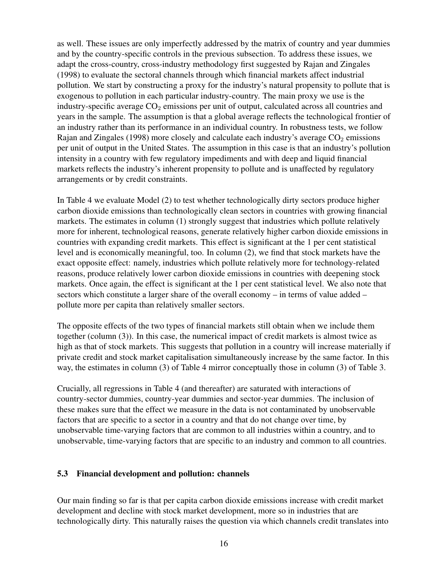as well. These issues are only imperfectly addressed by the matrix of country and year dummies and by the country-specific controls in the previous subsection. To address these issues, we adapt the cross-country, cross-industry methodology first suggested by Rajan and Zingales (1998) to evaluate the sectoral channels through which financial markets affect industrial pollution. We start by constructing a proxy for the industry's natural propensity to pollute that is exogenous to pollution in each particular industry-country. The main proxy we use is the industry-specific average  $CO<sub>2</sub>$  emissions per unit of output, calculated across all countries and years in the sample. The assumption is that a global average reflects the technological frontier of an industry rather than its performance in an individual country. In robustness tests, we follow Rajan and Zingales (1998) more closely and calculate each industry's average  $CO<sub>2</sub>$  emissions per unit of output in the United States. The assumption in this case is that an industry's pollution intensity in a country with few regulatory impediments and with deep and liquid financial markets reflects the industry's inherent propensity to pollute and is unaffected by regulatory arrangements or by credit constraints.

In Table 4 we evaluate Model (2) to test whether technologically dirty sectors produce higher carbon dioxide emissions than technologically clean sectors in countries with growing financial markets. The estimates in column (1) strongly suggest that industries which pollute relatively more for inherent, technological reasons, generate relatively higher carbon dioxide emissions in countries with expanding credit markets. This effect is significant at the 1 per cent statistical level and is economically meaningful, too. In column (2), we find that stock markets have the exact opposite effect: namely, industries which pollute relatively more for technology-related reasons, produce relatively lower carbon dioxide emissions in countries with deepening stock markets. Once again, the effect is significant at the 1 per cent statistical level. We also note that sectors which constitute a larger share of the overall economy – in terms of value added – pollute more per capita than relatively smaller sectors.

The opposite effects of the two types of financial markets still obtain when we include them together (column (3)). In this case, the numerical impact of credit markets is almost twice as high as that of stock markets. This suggests that pollution in a country will increase materially if private credit and stock market capitalisation simultaneously increase by the same factor. In this way, the estimates in column (3) of Table 4 mirror conceptually those in column (3) of Table 3.

Crucially, all regressions in Table 4 (and thereafter) are saturated with interactions of country-sector dummies, country-year dummies and sector-year dummies. The inclusion of these makes sure that the effect we measure in the data is not contaminated by unobservable factors that are specific to a sector in a country and that do not change over time, by unobservable time-varying factors that are common to all industries within a country, and to unobservable, time-varying factors that are specific to an industry and common to all countries.

### 5.3 Financial development and pollution: channels

Our main finding so far is that per capita carbon dioxide emissions increase with credit market development and decline with stock market development, more so in industries that are technologically dirty. This naturally raises the question via which channels credit translates into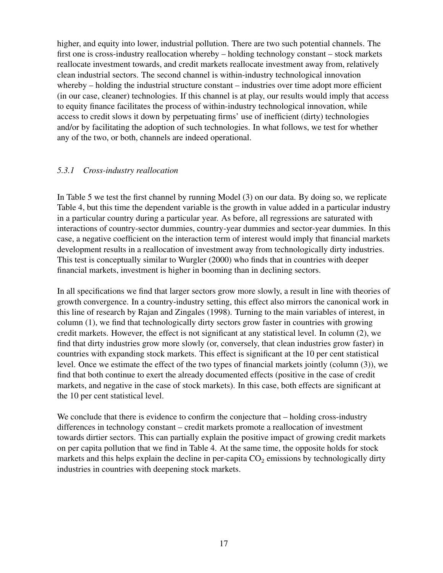higher, and equity into lower, industrial pollution. There are two such potential channels. The first one is cross-industry reallocation whereby – holding technology constant – stock markets reallocate investment towards, and credit markets reallocate investment away from, relatively clean industrial sectors. The second channel is within-industry technological innovation whereby – holding the industrial structure constant – industries over time adopt more efficient (in our case, cleaner) technologies. If this channel is at play, our results would imply that access to equity finance facilitates the process of within-industry technological innovation, while access to credit slows it down by perpetuating firms' use of inefficient (dirty) technologies and/or by facilitating the adoption of such technologies. In what follows, we test for whether any of the two, or both, channels are indeed operational.

## *5.3.1 Cross-industry reallocation*

In Table 5 we test the first channel by running Model (3) on our data. By doing so, we replicate Table 4, but this time the dependent variable is the growth in value added in a particular industry in a particular country during a particular year. As before, all regressions are saturated with interactions of country-sector dummies, country-year dummies and sector-year dummies. In this case, a negative coefficient on the interaction term of interest would imply that financial markets development results in a reallocation of investment away from technologically dirty industries. This test is conceptually similar to Wurgler (2000) who finds that in countries with deeper financial markets, investment is higher in booming than in declining sectors.

In all specifications we find that larger sectors grow more slowly, a result in line with theories of growth convergence. In a country-industry setting, this effect also mirrors the canonical work in this line of research by Rajan and Zingales (1998). Turning to the main variables of interest, in column (1), we find that technologically dirty sectors grow faster in countries with growing credit markets. However, the effect is not significant at any statistical level. In column (2), we find that dirty industries grow more slowly (or, conversely, that clean industries grow faster) in countries with expanding stock markets. This effect is significant at the 10 per cent statistical level. Once we estimate the effect of the two types of financial markets jointly (column (3)), we find that both continue to exert the already documented effects (positive in the case of credit markets, and negative in the case of stock markets). In this case, both effects are significant at the 10 per cent statistical level.

We conclude that there is evidence to confirm the conjecture that – holding cross-industry differences in technology constant – credit markets promote a reallocation of investment towards dirtier sectors. This can partially explain the positive impact of growing credit markets on per capita pollution that we find in Table 4. At the same time, the opposite holds for stock markets and this helps explain the decline in per-capita  $CO<sub>2</sub>$  emissions by technologically dirty industries in countries with deepening stock markets.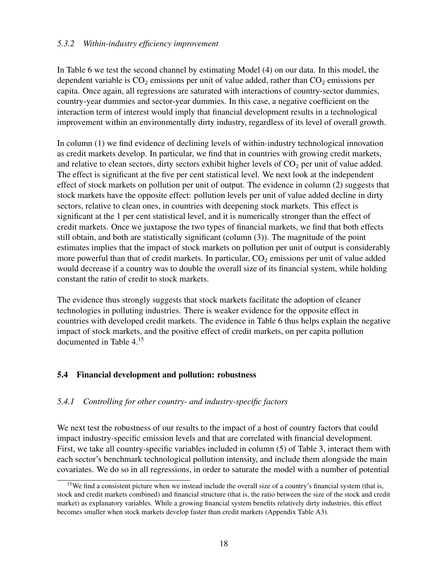### *5.3.2 Within-industry efficiency improvement*

In Table 6 we test the second channel by estimating Model (4) on our data. In this model, the dependent variable is  $CO_2$  emissions per unit of value added, rather than  $CO_2$  emissions per capita. Once again, all regressions are saturated with interactions of country-sector dummies, country-year dummies and sector-year dummies. In this case, a negative coefficient on the interaction term of interest would imply that financial development results in a technological improvement within an environmentally dirty industry, regardless of its level of overall growth.

In column (1) we find evidence of declining levels of within-industry technological innovation as credit markets develop. In particular, we find that in countries with growing credit markets, and relative to clean sectors, dirty sectors exhibit higher levels of  $CO<sub>2</sub>$  per unit of value added. The effect is significant at the five per cent statistical level. We next look at the independent effect of stock markets on pollution per unit of output. The evidence in column (2) suggests that stock markets have the opposite effect: pollution levels per unit of value added decline in dirty sectors, relative to clean ones, in countries with deepening stock markets. This effect is significant at the 1 per cent statistical level, and it is numerically stronger than the effect of credit markets. Once we juxtapose the two types of financial markets, we find that both effects still obtain, and both are statistically significant (column (3)). The magnitude of the point estimates implies that the impact of stock markets on pollution per unit of output is considerably more powerful than that of credit markets. In particular,  $CO<sub>2</sub>$  emissions per unit of value added would decrease if a country was to double the overall size of its financial system, while holding constant the ratio of credit to stock markets.

The evidence thus strongly suggests that stock markets facilitate the adoption of cleaner technologies in polluting industries. There is weaker evidence for the opposite effect in countries with developed credit markets. The evidence in Table 6 thus helps explain the negative impact of stock markets, and the positive effect of credit markets, on per capita pollution documented in Table 4.<sup>15</sup>

## 5.4 Financial development and pollution: robustness

## *5.4.1 Controlling for other country- and industry-specific factors*

We next test the robustness of our results to the impact of a host of country factors that could impact industry-specific emission levels and that are correlated with financial development. First, we take all country-specific variables included in column (5) of Table 3, interact them with each sector's benchmark technological pollution intensity, and include them alongside the main covariates. We do so in all regressions, in order to saturate the model with a number of potential

<sup>&</sup>lt;sup>15</sup>We find a consistent picture when we instead include the overall size of a country's financial system (that is, stock and credit markets combined) and financial structure (that is, the ratio between the size of the stock and credit market) as explanatory variables. While a growing financial system benefits relatively dirty industries, this effect becomes smaller when stock markets develop faster than credit markets (Appendix Table A3).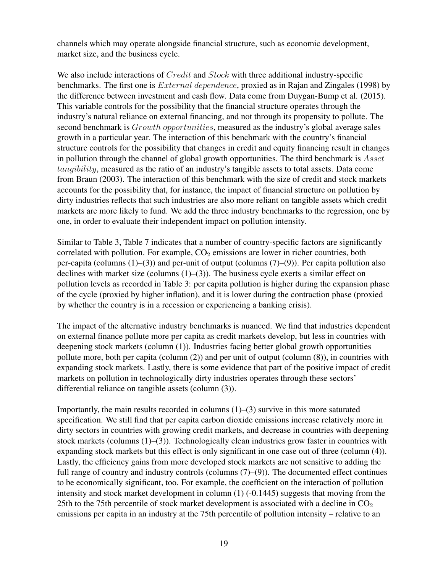channels which may operate alongside financial structure, such as economic development, market size, and the business cycle.

We also include interactions of *Credit* and *Stock* with three additional industry-specific benchmarks. The first one is External dependence, proxied as in Rajan and Zingales (1998) by the difference between investment and cash flow. Data come from Duygan-Bump et al. (2015). This variable controls for the possibility that the financial structure operates through the industry's natural reliance on external financing, and not through its propensity to pollute. The second benchmark is *Growth opportunities*, measured as the industry's global average sales growth in a particular year. The interaction of this benchmark with the country's financial structure controls for the possibility that changes in credit and equity financing result in changes in pollution through the channel of global growth opportunities. The third benchmark is Asset tangibility, measured as the ratio of an industry's tangible assets to total assets. Data come from Braun (2003). The interaction of this benchmark with the size of credit and stock markets accounts for the possibility that, for instance, the impact of financial structure on pollution by dirty industries reflects that such industries are also more reliant on tangible assets which credit markets are more likely to fund. We add the three industry benchmarks to the regression, one by one, in order to evaluate their independent impact on pollution intensity.

Similar to Table 3, Table 7 indicates that a number of country-specific factors are significantly correlated with pollution. For example,  $CO<sub>2</sub>$  emissions are lower in richer countries, both per-capita (columns  $(1)$ – $(3)$ ) and per-unit of output (columns  $(7)$ – $(9)$ ). Per capita pollution also declines with market size (columns  $(1)$ – $(3)$ ). The business cycle exerts a similar effect on pollution levels as recorded in Table 3: per capita pollution is higher during the expansion phase of the cycle (proxied by higher inflation), and it is lower during the contraction phase (proxied by whether the country is in a recession or experiencing a banking crisis).

The impact of the alternative industry benchmarks is nuanced. We find that industries dependent on external finance pollute more per capita as credit markets develop, but less in countries with deepening stock markets (column (1)). Industries facing better global growth opportunities pollute more, both per capita (column (2)) and per unit of output (column (8)), in countries with expanding stock markets. Lastly, there is some evidence that part of the positive impact of credit markets on pollution in technologically dirty industries operates through these sectors' differential reliance on tangible assets (column (3)).

Importantly, the main results recorded in columns  $(1)$ – $(3)$  survive in this more saturated specification. We still find that per capita carbon dioxide emissions increase relatively more in dirty sectors in countries with growing credit markets, and decrease in countries with deepening stock markets (columns  $(1)$ – $(3)$ ). Technologically clean industries grow faster in countries with expanding stock markets but this effect is only significant in one case out of three (column (4)). Lastly, the efficiency gains from more developed stock markets are not sensitive to adding the full range of country and industry controls (columns  $(7)$ – $(9)$ ). The documented effect continues to be economically significant, too. For example, the coefficient on the interaction of pollution intensity and stock market development in column (1) (-0.1445) suggests that moving from the 25th to the 75th percentile of stock market development is associated with a decline in  $CO<sub>2</sub>$ emissions per capita in an industry at the 75th percentile of pollution intensity – relative to an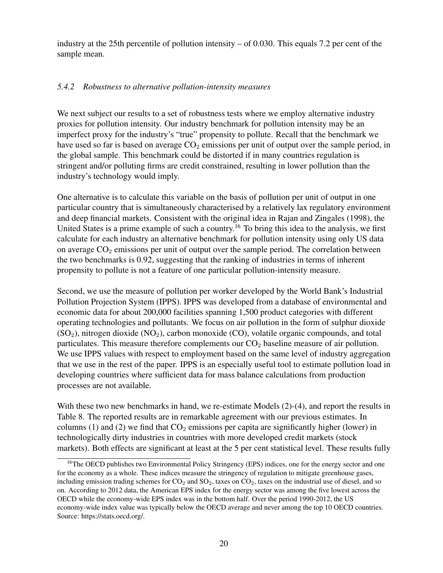industry at the 25th percentile of pollution intensity – of 0.030. This equals 7.2 per cent of the sample mean.

### *5.4.2 Robustness to alternative pollution-intensity measures*

We next subject our results to a set of robustness tests where we employ alternative industry proxies for pollution intensity. Our industry benchmark for pollution intensity may be an imperfect proxy for the industry's "true" propensity to pollute. Recall that the benchmark we have used so far is based on average  $CO<sub>2</sub>$  emissions per unit of output over the sample period, in the global sample. This benchmark could be distorted if in many countries regulation is stringent and/or polluting firms are credit constrained, resulting in lower pollution than the industry's technology would imply.

One alternative is to calculate this variable on the basis of pollution per unit of output in one particular country that is simultaneously characterised by a relatively lax regulatory environment and deep financial markets. Consistent with the original idea in Rajan and Zingales (1998), the United States is a prime example of such a country.<sup>16</sup> To bring this idea to the analysis, we first calculate for each industry an alternative benchmark for pollution intensity using only US data on average  $CO<sub>2</sub>$  emissions per unit of output over the sample period. The correlation between the two benchmarks is 0.92, suggesting that the ranking of industries in terms of inherent propensity to pollute is not a feature of one particular pollution-intensity measure.

Second, we use the measure of pollution per worker developed by the World Bank's Industrial Pollution Projection System (IPPS). IPPS was developed from a database of environmental and economic data for about 200,000 facilities spanning 1,500 product categories with different operating technologies and pollutants. We focus on air pollution in the form of sulphur dioxide  $(SO<sub>2</sub>)$ , nitrogen dioxide  $(SO<sub>2</sub>)$ , carbon monoxide  $(CO)$ , volatile organic compounds, and total particulates. This measure therefore complements our  $CO<sub>2</sub>$  baseline measure of air pollution. We use IPPS values with respect to employment based on the same level of industry aggregation that we use in the rest of the paper. IPPS is an especially useful tool to estimate pollution load in developing countries where sufficient data for mass balance calculations from production processes are not available.

With these two new benchmarks in hand, we re-estimate Models (2)-(4), and report the results in Table 8. The reported results are in remarkable agreement with our previous estimates. In columns (1) and (2) we find that  $CO<sub>2</sub>$  emissions per capita are significantly higher (lower) in technologically dirty industries in countries with more developed credit markets (stock markets). Both effects are significant at least at the 5 per cent statistical level. These results fully

<sup>&</sup>lt;sup>16</sup>The OECD publishes two Environmental Policy Stringency (EPS) indices, one for the energy sector and one for the economy as a whole. These indices measure the stringency of regulation to mitigate greenhouse gases, including emission trading schemes for  $CO_2$  and  $SO_2$ , taxes on  $CO_2$ , taxes on the industrial use of diesel, and so on. According to 2012 data, the American EPS index for the energy sector was among the five lowest across the OECD while the economy-wide EPS index was in the bottom half. Over the period 1990-2012, the US economy-wide index value was typically below the OECD average and never among the top 10 OECD countries. Source: https://stats.oecd.org/.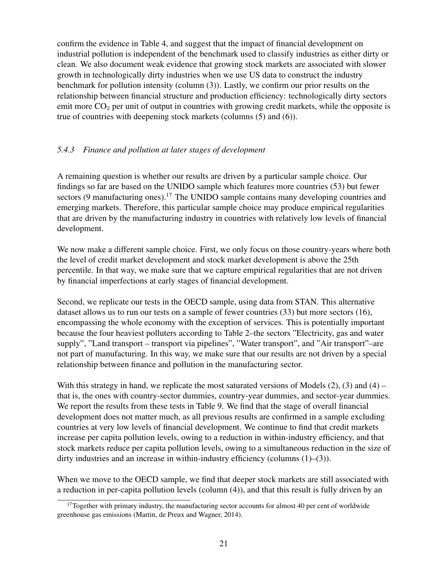confirm the evidence in Table 4, and suggest that the impact of financial development on industrial pollution is independent of the benchmark used to classify industries as either dirty or clean. We also document weak evidence that growing stock markets are associated with slower growth in technologically dirty industries when we use US data to construct the industry benchmark for pollution intensity (column (3)). Lastly, we confirm our prior results on the relationship between financial structure and production efficiency: technologically dirty sectors emit more  $CO<sub>2</sub>$  per unit of output in countries with growing credit markets, while the opposite is true of countries with deepening stock markets (columns (5) and (6)).

## *5.4.3 Finance and pollution at later stages of development*

A remaining question is whether our results are driven by a particular sample choice. Our findings so far are based on the UNIDO sample which features more countries (53) but fewer sectors  $(9 \text{ manufacturing ones})$ .<sup>17</sup> The UNIDO sample contains many developing countries and emerging markets. Therefore, this particular sample choice may produce empirical regularities that are driven by the manufacturing industry in countries with relatively low levels of financial development.

We now make a different sample choice. First, we only focus on those country-years where both the level of credit market development and stock market development is above the 25th percentile. In that way, we make sure that we capture empirical regularities that are not driven by financial imperfections at early stages of financial development.

Second, we replicate our tests in the OECD sample, using data from STAN. This alternative dataset allows us to run our tests on a sample of fewer countries (33) but more sectors (16), encompassing the whole economy with the exception of services. This is potentially important because the four heaviest polluters according to Table 2–the sectors "Electricity, gas and water supply", "Land transport – transport via pipelines", "Water transport", and "Air transport"–are not part of manufacturing. In this way, we make sure that our results are not driven by a special relationship between finance and pollution in the manufacturing sector.

With this strategy in hand, we replicate the most saturated versions of Models  $(2)$ ,  $(3)$  and  $(4)$  – that is, the ones with country-sector dummies, country-year dummies, and sector-year dummies. We report the results from these tests in Table 9. We find that the stage of overall financial development does not matter much, as all previous results are confirmed in a sample excluding countries at very low levels of financial development. We continue to find that credit markets increase per capita pollution levels, owing to a reduction in within-industry efficiency, and that stock markets reduce per capita pollution levels, owing to a simultaneous reduction in the size of dirty industries and an increase in within-industry efficiency (columns (1)–(3)).

When we move to the OECD sample, we find that deeper stock markets are still associated with a reduction in per-capita pollution levels (column (4)), and that this result is fully driven by an

 $17$ Together with primary industry, the manufacturing sector accounts for almost 40 per cent of worldwide greenhouse gas emissions (Martin, de Preux and Wagner, 2014).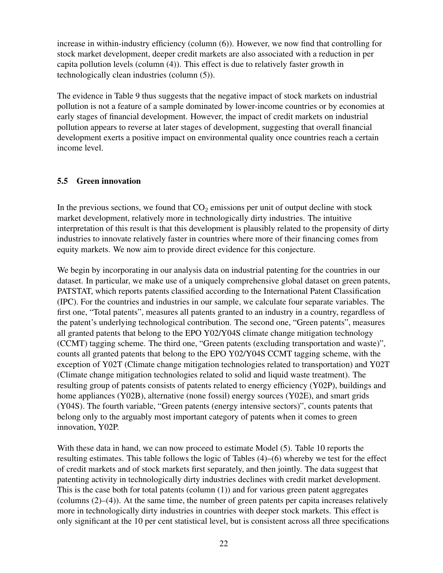increase in within-industry efficiency (column (6)). However, we now find that controlling for stock market development, deeper credit markets are also associated with a reduction in per capita pollution levels (column (4)). This effect is due to relatively faster growth in technologically clean industries (column (5)).

The evidence in Table 9 thus suggests that the negative impact of stock markets on industrial pollution is not a feature of a sample dominated by lower-income countries or by economies at early stages of financial development. However, the impact of credit markets on industrial pollution appears to reverse at later stages of development, suggesting that overall financial development exerts a positive impact on environmental quality once countries reach a certain income level.

### 5.5 Green innovation

In the previous sections, we found that  $CO<sub>2</sub>$  emissions per unit of output decline with stock market development, relatively more in technologically dirty industries. The intuitive interpretation of this result is that this development is plausibly related to the propensity of dirty industries to innovate relatively faster in countries where more of their financing comes from equity markets. We now aim to provide direct evidence for this conjecture.

We begin by incorporating in our analysis data on industrial patenting for the countries in our dataset. In particular, we make use of a uniquely comprehensive global dataset on green patents, PATSTAT, which reports patents classified according to the International Patent Classification (IPC). For the countries and industries in our sample, we calculate four separate variables. The first one, "Total patents", measures all patents granted to an industry in a country, regardless of the patent's underlying technological contribution. The second one, "Green patents", measures all granted patents that belong to the EPO Y02/Y04S climate change mitigation technology (CCMT) tagging scheme. The third one, "Green patents (excluding transportation and waste)", counts all granted patents that belong to the EPO Y02/Y04S CCMT tagging scheme, with the exception of Y02T (Climate change mitigation technologies related to transportation) and Y02T (Climate change mitigation technologies related to solid and liquid waste treatment). The resulting group of patents consists of patents related to energy efficiency (Y02P), buildings and home appliances (Y02B), alternative (none fossil) energy sources (Y02E), and smart grids (Y04S). The fourth variable, "Green patents (energy intensive sectors)", counts patents that belong only to the arguably most important category of patents when it comes to green innovation, Y02P.

With these data in hand, we can now proceed to estimate Model (5). Table 10 reports the resulting estimates. This table follows the logic of Tables (4)–(6) whereby we test for the effect of credit markets and of stock markets first separately, and then jointly. The data suggest that patenting activity in technologically dirty industries declines with credit market development. This is the case both for total patents (column  $(1)$ ) and for various green patent aggregates (columns  $(2)$ – $(4)$ ). At the same time, the number of green patents per capita increases relatively more in technologically dirty industries in countries with deeper stock markets. This effect is only significant at the 10 per cent statistical level, but is consistent across all three specifications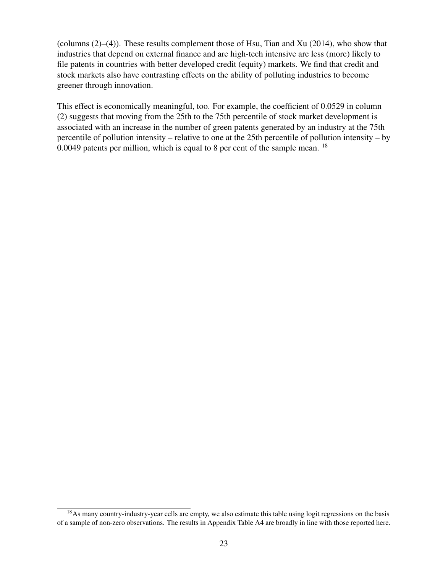(columns (2)–(4)). These results complement those of Hsu, Tian and Xu (2014), who show that industries that depend on external finance and are high-tech intensive are less (more) likely to file patents in countries with better developed credit (equity) markets. We find that credit and stock markets also have contrasting effects on the ability of polluting industries to become greener through innovation.

This effect is economically meaningful, too. For example, the coefficient of 0.0529 in column (2) suggests that moving from the 25th to the 75th percentile of stock market development is associated with an increase in the number of green patents generated by an industry at the 75th percentile of pollution intensity – relative to one at the 25th percentile of pollution intensity – by 0.0049 patents per million, which is equal to 8 per cent of the sample mean. <sup>18</sup>

<sup>&</sup>lt;sup>18</sup>As many country-industry-year cells are empty, we also estimate this table using logit regressions on the basis of a sample of non-zero observations. The results in Appendix Table A4 are broadly in line with those reported here.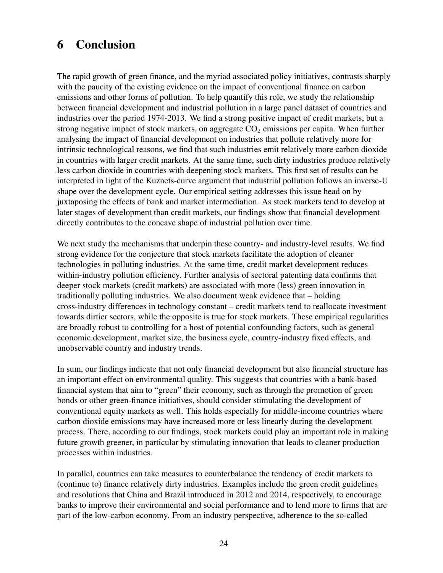# 6 Conclusion

The rapid growth of green finance, and the myriad associated policy initiatives, contrasts sharply with the paucity of the existing evidence on the impact of conventional finance on carbon emissions and other forms of pollution. To help quantify this role, we study the relationship between financial development and industrial pollution in a large panel dataset of countries and industries over the period 1974-2013. We find a strong positive impact of credit markets, but a strong negative impact of stock markets, on aggregate  $CO<sub>2</sub>$  emissions per capita. When further analysing the impact of financial development on industries that pollute relatively more for intrinsic technological reasons, we find that such industries emit relatively more carbon dioxide in countries with larger credit markets. At the same time, such dirty industries produce relatively less carbon dioxide in countries with deepening stock markets. This first set of results can be interpreted in light of the Kuznets-curve argument that industrial pollution follows an inverse-U shape over the development cycle. Our empirical setting addresses this issue head on by juxtaposing the effects of bank and market intermediation. As stock markets tend to develop at later stages of development than credit markets, our findings show that financial development directly contributes to the concave shape of industrial pollution over time.

We next study the mechanisms that underpin these country- and industry-level results. We find strong evidence for the conjecture that stock markets facilitate the adoption of cleaner technologies in polluting industries. At the same time, credit market development reduces within-industry pollution efficiency. Further analysis of sectoral patenting data confirms that deeper stock markets (credit markets) are associated with more (less) green innovation in traditionally polluting industries. We also document weak evidence that – holding cross-industry differences in technology constant – credit markets tend to reallocate investment towards dirtier sectors, while the opposite is true for stock markets. These empirical regularities are broadly robust to controlling for a host of potential confounding factors, such as general economic development, market size, the business cycle, country-industry fixed effects, and unobservable country and industry trends.

In sum, our findings indicate that not only financial development but also financial structure has an important effect on environmental quality. This suggests that countries with a bank-based financial system that aim to "green" their economy, such as through the promotion of green bonds or other green-finance initiatives, should consider stimulating the development of conventional equity markets as well. This holds especially for middle-income countries where carbon dioxide emissions may have increased more or less linearly during the development process. There, according to our findings, stock markets could play an important role in making future growth greener, in particular by stimulating innovation that leads to cleaner production processes within industries.

In parallel, countries can take measures to counterbalance the tendency of credit markets to (continue to) finance relatively dirty industries. Examples include the green credit guidelines and resolutions that China and Brazil introduced in 2012 and 2014, respectively, to encourage banks to improve their environmental and social performance and to lend more to firms that are part of the low-carbon economy. From an industry perspective, adherence to the so-called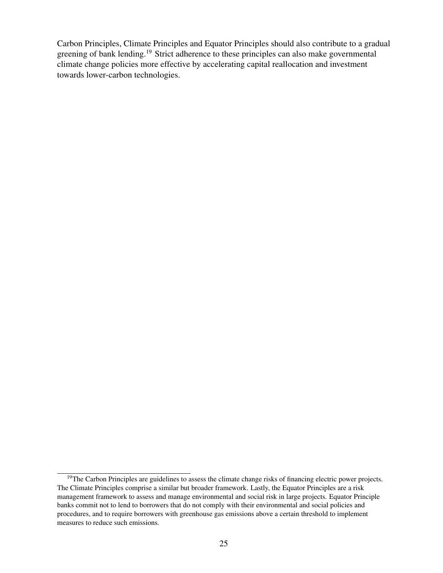Carbon Principles, Climate Principles and Equator Principles should also contribute to a gradual greening of bank lending.<sup>19</sup> Strict adherence to these principles can also make governmental climate change policies more effective by accelerating capital reallocation and investment towards lower-carbon technologies.

<sup>&</sup>lt;sup>19</sup>The Carbon Principles are guidelines to assess the climate change risks of financing electric power projects. The Climate Principles comprise a similar but broader framework. Lastly, the Equator Principles are a risk management framework to assess and manage environmental and social risk in large projects. Equator Principle banks commit not to lend to borrowers that do not comply with their environmental and social policies and procedures, and to require borrowers with greenhouse gas emissions above a certain threshold to implement measures to reduce such emissions.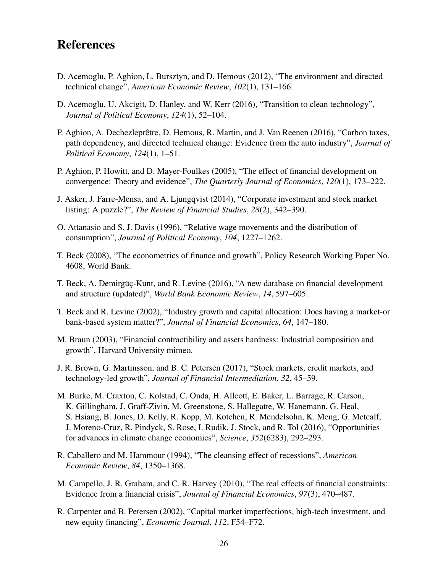# References

- D. Acemoglu, P. Aghion, L. Bursztyn, and D. Hemous (2012), "The environment and directed technical change", *American Economic Review*, *102*(1), 131–166.
- D. Acemoglu, U. Akcigit, D. Hanley, and W. Kerr (2016), "Transition to clean technology", *Journal of Political Economy*, *124*(1), 52–104.
- P. Aghion, A. Dechezleprêtre, D. Hemous, R. Martin, and J. Van Reenen (2016), "Carbon taxes, path dependency, and directed technical change: Evidence from the auto industry", *Journal of Political Economy*, *124*(1), 1–51.
- P. Aghion, P. Howitt, and D. Mayer-Foulkes (2005), "The effect of financial development on convergence: Theory and evidence", *The Quarterly Journal of Economics*, *120*(1), 173–222.
- J. Asker, J. Farre-Mensa, and A. Ljungqvist (2014), "Corporate investment and stock market listing: A puzzle?", *The Review of Financial Studies*, *28*(2), 342–390.
- O. Attanasio and S. J. Davis (1996), "Relative wage movements and the distribution of consumption", *Journal of Political Economy*, *104*, 1227–1262.
- T. Beck (2008), "The econometrics of finance and growth", Policy Research Working Paper No. 4608, World Bank.
- T. Beck, A. Demirguç-Kunt, and R. Levine (2016), "A new database on financial development and structure (updated)", *World Bank Economic Review*, *14*, 597–605.
- T. Beck and R. Levine (2002), "Industry growth and capital allocation: Does having a market-or bank-based system matter?", *Journal of Financial Economics*, *64*, 147–180.
- M. Braun (2003), "Financial contractibility and assets hardness: Industrial composition and growth", Harvard University mimeo.
- J. R. Brown, G. Martinsson, and B. C. Petersen (2017), "Stock markets, credit markets, and technology-led growth", *Journal of Financial Intermediation*, *32*, 45–59.
- M. Burke, M. Craxton, C. Kolstad, C. Onda, H. Allcott, E. Baker, L. Barrage, R. Carson, K. Gillingham, J. Graff-Zivin, M. Greenstone, S. Hallegatte, W. Hanemann, G. Heal, S. Hsiang, B. Jones, D. Kelly, R. Kopp, M. Kotchen, R. Mendelsohn, K. Meng, G. Metcalf, J. Moreno-Cruz, R. Pindyck, S. Rose, I. Rudik, J. Stock, and R. Tol (2016), "Opportunities for advances in climate change economics", *Science*, *352*(6283), 292–293.
- R. Caballero and M. Hammour (1994), "The cleansing effect of recessions", *American Economic Review*, *84*, 1350–1368.
- M. Campello, J. R. Graham, and C. R. Harvey (2010), "The real effects of financial constraints: Evidence from a financial crisis", *Journal of Financial Economics*, *97*(3), 470–487.
- R. Carpenter and B. Petersen (2002), "Capital market imperfections, high-tech investment, and new equity financing", *Economic Journal*, *112*, F54–F72.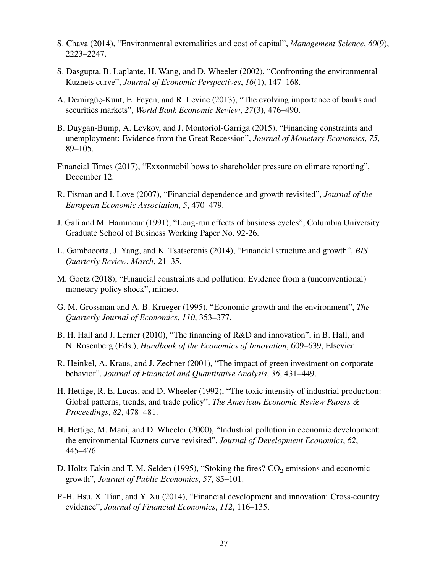- S. Chava (2014), "Environmental externalities and cost of capital", *Management Science*, *60*(9), 2223–2247.
- S. Dasgupta, B. Laplante, H. Wang, and D. Wheeler (2002), "Confronting the environmental Kuznets curve", *Journal of Economic Perspectives*, *16*(1), 147–168.
- A. Demirguc-Kunt, E. Feyen, and R. Levine (2013), "The evolving importance of banks and securities markets", *World Bank Economic Review*, *27*(3), 476–490.
- B. Duygan-Bump, A. Levkov, and J. Montoriol-Garriga (2015), "Financing constraints and unemployment: Evidence from the Great Recession", *Journal of Monetary Economics*, *75*, 89–105.
- Financial Times (2017), "Exxonmobil bows to shareholder pressure on climate reporting", December 12.
- R. Fisman and I. Love (2007), "Financial dependence and growth revisited", *Journal of the European Economic Association*, *5*, 470–479.
- J. Gali and M. Hammour (1991), "Long-run effects of business cycles", Columbia University Graduate School of Business Working Paper No. 92-26.
- L. Gambacorta, J. Yang, and K. Tsatseronis (2014), "Financial structure and growth", *BIS Quarterly Review*, *March*, 21–35.
- M. Goetz (2018), "Financial constraints and pollution: Evidence from a (unconventional) monetary policy shock", mimeo.
- G. M. Grossman and A. B. Krueger (1995), "Economic growth and the environment", *The Quarterly Journal of Economics*, *110*, 353–377.
- B. H. Hall and J. Lerner (2010), "The financing of R&D and innovation", in B. Hall, and N. Rosenberg (Eds.), *Handbook of the Economics of Innovation*, 609–639, Elsevier.
- R. Heinkel, A. Kraus, and J. Zechner (2001), "The impact of green investment on corporate behavior", *Journal of Financial and Quantitative Analysis*, *36*, 431–449.
- H. Hettige, R. E. Lucas, and D. Wheeler (1992), "The toxic intensity of industrial production: Global patterns, trends, and trade policy", *The American Economic Review Papers & Proceedings*, *82*, 478–481.
- H. Hettige, M. Mani, and D. Wheeler (2000), "Industrial pollution in economic development: the environmental Kuznets curve revisited", *Journal of Development Economics*, *62*, 445–476.
- D. Holtz-Eakin and T. M. Selden (1995), "Stoking the fires?  $CO_2$  emissions and economic growth", *Journal of Public Economics*, *57*, 85–101.
- P.-H. Hsu, X. Tian, and Y. Xu (2014), "Financial development and innovation: Cross-country evidence", *Journal of Financial Economics*, *112*, 116–135.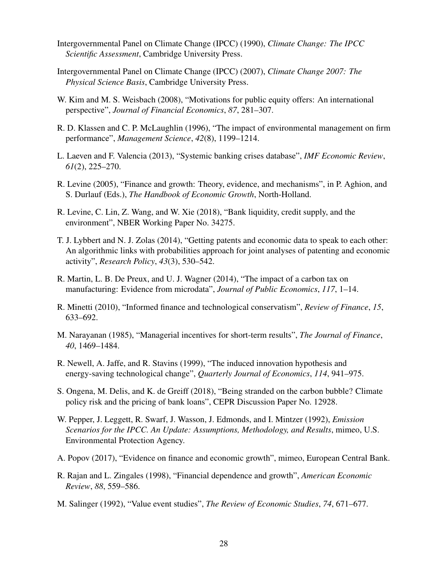- Intergovernmental Panel on Climate Change (IPCC) (1990), *Climate Change: The IPCC Scientific Assessment*, Cambridge University Press.
- Intergovernmental Panel on Climate Change (IPCC) (2007), *Climate Change 2007: The Physical Science Basis*, Cambridge University Press.
- W. Kim and M. S. Weisbach (2008), "Motivations for public equity offers: An international perspective", *Journal of Financial Economics*, *87*, 281–307.
- R. D. Klassen and C. P. McLaughlin (1996), "The impact of environmental management on firm performance", *Management Science*, *42*(8), 1199–1214.
- L. Laeven and F. Valencia (2013), "Systemic banking crises database", *IMF Economic Review*, *61*(2), 225–270.
- R. Levine (2005), "Finance and growth: Theory, evidence, and mechanisms", in P. Aghion, and S. Durlauf (Eds.), *The Handbook of Economic Growth*, North-Holland.
- R. Levine, C. Lin, Z. Wang, and W. Xie (2018), "Bank liquidity, credit supply, and the environment", NBER Working Paper No. 34275.
- T. J. Lybbert and N. J. Zolas (2014), "Getting patents and economic data to speak to each other: An algorithmic links with probabilities approach for joint analyses of patenting and economic activity", *Research Policy*, *43*(3), 530–542.
- R. Martin, L. B. De Preux, and U. J. Wagner (2014), "The impact of a carbon tax on manufacturing: Evidence from microdata", *Journal of Public Economics*, *117*, 1–14.
- R. Minetti (2010), "Informed finance and technological conservatism", *Review of Finance*, *15*, 633–692.
- M. Narayanan (1985), "Managerial incentives for short-term results", *The Journal of Finance*, *40*, 1469–1484.
- R. Newell, A. Jaffe, and R. Stavins (1999), "The induced innovation hypothesis and energy-saving technological change", *Quarterly Journal of Economics*, *114*, 941–975.
- S. Ongena, M. Delis, and K. de Greiff (2018), "Being stranded on the carbon bubble? Climate policy risk and the pricing of bank loans", CEPR Discussion Paper No. 12928.
- W. Pepper, J. Leggett, R. Swarf, J. Wasson, J. Edmonds, and I. Mintzer (1992), *Emission Scenarios for the IPCC. An Update: Assumptions, Methodology, and Results*, mimeo, U.S. Environmental Protection Agency.
- A. Popov (2017), "Evidence on finance and economic growth", mimeo, European Central Bank.
- R. Rajan and L. Zingales (1998), "Financial dependence and growth", *American Economic Review*, *88*, 559–586.
- M. Salinger (1992), "Value event studies", *The Review of Economic Studies*, *74*, 671–677.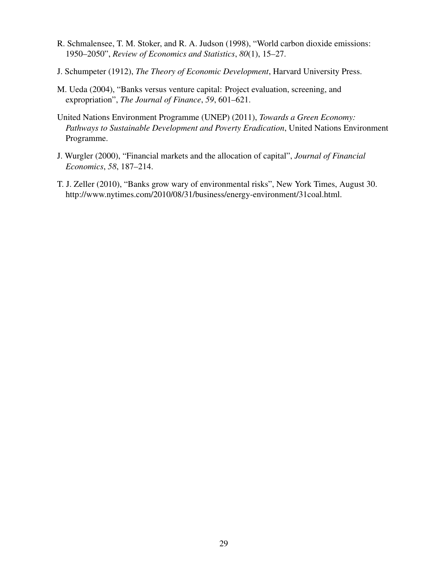- R. Schmalensee, T. M. Stoker, and R. A. Judson (1998), "World carbon dioxide emissions: 1950–2050", *Review of Economics and Statistics*, *80*(1), 15–27.
- J. Schumpeter (1912), *The Theory of Economic Development*, Harvard University Press.
- M. Ueda (2004), "Banks versus venture capital: Project evaluation, screening, and expropriation", *The Journal of Finance*, *59*, 601–621.
- United Nations Environment Programme (UNEP) (2011), *Towards a Green Economy: Pathways to Sustainable Development and Poverty Eradication*, United Nations Environment Programme.
- J. Wurgler (2000), "Financial markets and the allocation of capital", *Journal of Financial Economics*, *58*, 187–214.
- T. J. Zeller (2010), "Banks grow wary of environmental risks", New York Times, August 30. http://www.nytimes.com/2010/08/31/business/energy-environment/31coal.html.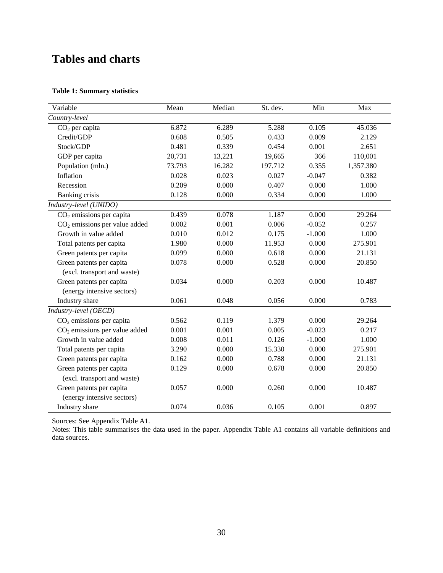# **Tables and charts**

### **Table 1: Summary statistics**

| Variable                        | Mean   | Median | St. dev. | Min      | Max       |
|---------------------------------|--------|--------|----------|----------|-----------|
| Country-level                   |        |        |          |          |           |
| $CO2$ per capita                | 6.872  | 6.289  | 5.288    | 0.105    | 45.036    |
| Credit/GDP                      | 0.608  | 0.505  | 0.433    | 0.009    | 2.129     |
| Stock/GDP                       | 0.481  | 0.339  | 0.454    | 0.001    | 2.651     |
| GDP per capita                  | 20,731 | 13,221 | 19,665   | 366      | 110,001   |
| Population (mln.)               | 73.793 | 16.282 | 197.712  | 0.355    | 1,357.380 |
| Inflation                       | 0.028  | 0.023  | 0.027    | $-0.047$ | 0.382     |
| Recession                       | 0.209  | 0.000  | 0.407    | 0.000    | 1.000     |
| <b>Banking crisis</b>           | 0.128  | 0.000  | 0.334    | 0.000    | 1.000     |
| Industry-level (UNIDO)          |        |        |          |          |           |
| $CO2$ emissions per capita      | 0.439  | 0.078  | 1.187    | 0.000    | 29.264    |
| $CO2$ emissions per value added | 0.002  | 0.001  | 0.006    | $-0.052$ | 0.257     |
| Growth in value added           | 0.010  | 0.012  | 0.175    | $-1.000$ | 1.000     |
| Total patents per capita        | 1.980  | 0.000  | 11.953   | 0.000    | 275.901   |
| Green patents per capita        | 0.099  | 0.000  | 0.618    | 0.000    | 21.131    |
| Green patents per capita        | 0.078  | 0.000  | 0.528    | 0.000    | 20.850    |
| (excl. transport and waste)     |        |        |          |          |           |
| Green patents per capita        | 0.034  | 0.000  | 0.203    | 0.000    | 10.487    |
| (energy intensive sectors)      |        |        |          |          |           |
| Industry share                  | 0.061  | 0.048  | 0.056    | 0.000    | 0.783     |
| Industry-level (OECD)           |        |        |          |          |           |
| $CO2$ emissions per capita      | 0.562  | 0.119  | 1.379    | 0.000    | 29.264    |
| $CO2$ emissions per value added | 0.001  | 0.001  | 0.005    | $-0.023$ | 0.217     |
| Growth in value added           | 0.008  | 0.011  | 0.126    | $-1.000$ | 1.000     |
| Total patents per capita        | 3.290  | 0.000  | 15.330   | 0.000    | 275.901   |
| Green patents per capita        | 0.162  | 0.000  | 0.788    | 0.000    | 21.131    |
| Green patents per capita        | 0.129  | 0.000  | 0.678    | 0.000    | 20.850    |
| (excl. transport and waste)     |        |        |          |          |           |
| Green patents per capita        | 0.057  | 0.000  | 0.260    | 0.000    | 10.487    |
| (energy intensive sectors)      |        |        |          |          |           |
| Industry share                  | 0.074  | 0.036  | 0.105    | 0.001    | 0.897     |

Sources: See Appendix Table A1.

Notes: This table summarises the data used in the paper. Appendix Table A1 contains all variable definitions and data sources.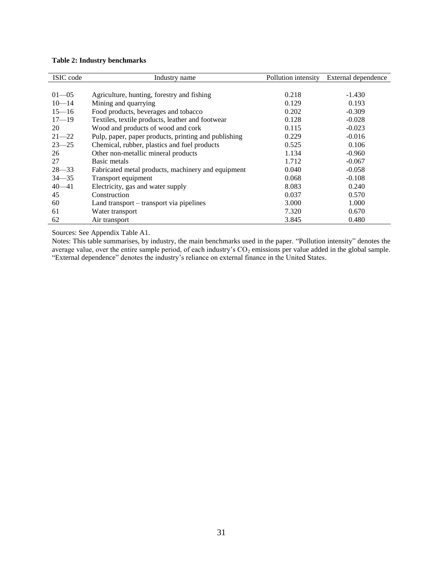|  |  | <b>Table 2: Industry benchmarks</b> |
|--|--|-------------------------------------|
|--|--|-------------------------------------|

| ISIC code | Industry name                                        | Pollution intensity | External dependence |
|-----------|------------------------------------------------------|---------------------|---------------------|
|           |                                                      |                     |                     |
| $01 - 05$ | Agriculture, hunting, forestry and fishing           | 0.218               | $-1.430$            |
| $10 - 14$ | Mining and quarrying                                 | 0.129               | 0.193               |
| $15 - 16$ | Food products, beverages and tobacco                 | 0.202               | $-0.309$            |
| $17 - 19$ | Textiles, textile products, leather and footwear     | 0.128               | $-0.028$            |
| 20        | Wood and products of wood and cork                   | 0.115               | $-0.023$            |
| $21 - 22$ | Pulp, paper, paper products, printing and publishing | 0.229               | $-0.016$            |
| $23 - 25$ | Chemical, rubber, plastics and fuel products         | 0.525               | 0.106               |
| 26        | Other non-metallic mineral products                  | 1.134               | $-0.960$            |
| 27        | Basic metals                                         | 1.712               | $-0.067$            |
| $28 - 33$ | Fabricated metal products, machinery and equipment   | 0.040               | $-0.058$            |
| $34 - 35$ | Transport equipment                                  | 0.068               | $-0.108$            |
| $40 - 41$ | Electricity, gas and water supply                    | 8.083               | 0.240               |
| 45        | Construction                                         | 0.037               | 0.570               |
| 60        | Land transport – transport via pipelines             | 3.000               | 1.000               |
| 61        | Water transport                                      | 7.320               | 0.670               |
| 62        | Air transport                                        | 3.845               | 0.480               |

Sources: See Appendix Table A1.

Notes: This table summarises, by industry, the main benchmarks used in the paper. "Pollution intensity" denotes the average value, over the entire sample period, of each industry's  $CO_2$  emissions per value added in the global sample. "External dependence" denotes the industry's reliance on external finance in the United States.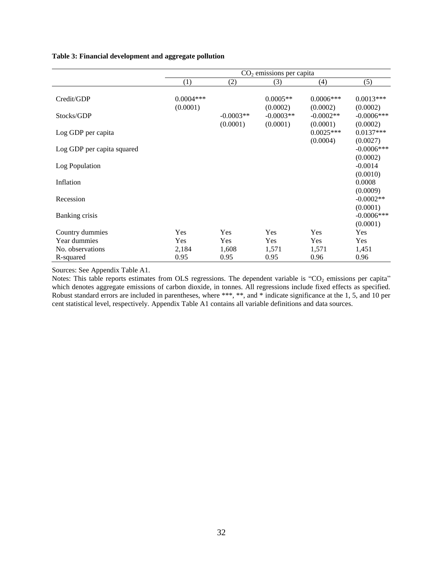### **Table 3: Financial development and aggregate pollution**

|                            | $CO2$ emissions per capita |                         |                         |                         |                           |  |  |
|----------------------------|----------------------------|-------------------------|-------------------------|-------------------------|---------------------------|--|--|
|                            | (1)                        | (2)                     | (3)                     | (4)                     | (5)                       |  |  |
| Credit/GDP                 | $0.0004***$<br>(0.0001)    |                         | $0.0005**$<br>(0.0002)  | $0.0006***$<br>(0.0002) | $0.0013***$<br>(0.0002)   |  |  |
| Stocks/GDP                 |                            | $-0.0003**$<br>(0.0001) | $-0.0003**$<br>(0.0001) | $-0.0002**$<br>(0.0001) | $-0.0006$ ***<br>(0.0002) |  |  |
| Log GDP per capita         |                            |                         |                         | $0.0025***$<br>(0.0004) | $0.0137***$<br>(0.0027)   |  |  |
| Log GDP per capita squared |                            |                         |                         |                         | $-0.0006$ ***<br>(0.0002) |  |  |
| Log Population             |                            |                         |                         |                         | $-0.0014$<br>(0.0010)     |  |  |
| Inflation                  |                            |                         |                         |                         | 0.0008<br>(0.0009)        |  |  |
| Recession                  |                            |                         |                         |                         | $-0.0002**$<br>(0.0001)   |  |  |
| <b>Banking crisis</b>      |                            |                         |                         |                         | $-0.0006$ ***<br>(0.0001) |  |  |
| Country dummies            | Yes                        | Yes                     | Yes                     | Yes                     | Yes                       |  |  |
| Year dummies               | Yes                        | Yes                     | Yes                     | Yes                     | Yes                       |  |  |
| No. observations           | 2,184                      | 1,608                   | 1,571                   | 1,571                   | 1,451                     |  |  |
| R-squared                  | 0.95                       | 0.95                    | 0.95                    | 0.96                    | 0.96                      |  |  |

Sources: See Appendix Table A1.

Notes: This table reports estimates from OLS regressions. The dependent variable is " $CO<sub>2</sub>$  emissions per capita" which denotes aggregate emissions of carbon dioxide, in tonnes. All regressions include fixed effects as specified. Robust standard errors are included in parentheses, where \*\*\*, \*\*, and \* indicate significance at the 1, 5, and 10 per cent statistical level, respectively. Appendix Table A1 contains all variable definitions and data sources.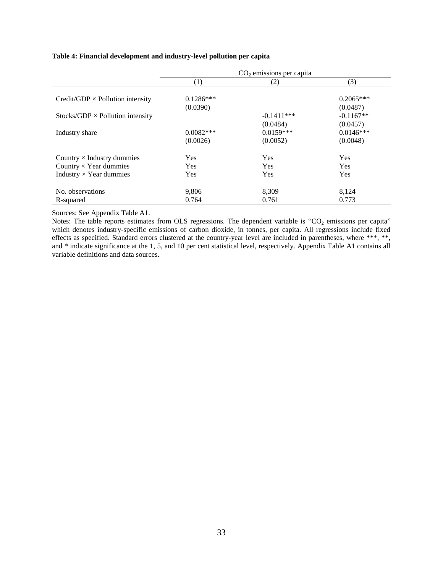#### **Table 4: Financial development and industry-level pollution per capita**

|                                         | $CO2$ emissions per capita |              |             |  |  |
|-----------------------------------------|----------------------------|--------------|-------------|--|--|
|                                         | (1)                        | (2)          | (3)         |  |  |
|                                         |                            |              |             |  |  |
| $Credit/GDP \times Pollution$ intensity | $0.1286***$                |              | $0.2065***$ |  |  |
|                                         | (0.0390)                   |              | (0.0487)    |  |  |
| $Stocks/GDP \times Pollution$ intensity |                            | $-0.1411***$ | $-0.1167**$ |  |  |
|                                         |                            | (0.0484)     | (0.0457)    |  |  |
| Industry share                          | $0.0082***$                | $0.0159***$  | $0.0146***$ |  |  |
|                                         | (0.0026)                   | (0.0052)     | (0.0048)    |  |  |
| Country $\times$ Industry dummies       | <b>Yes</b>                 | Yes          | <b>Yes</b>  |  |  |
| Country $\times$ Year dummies           | <b>Yes</b>                 | Yes          | Yes         |  |  |
| Industry $\times$ Year dummies          | <b>Yes</b>                 | Yes          | Yes         |  |  |
| No. observations                        | 9,806                      | 8,309        | 8,124       |  |  |
| R-squared                               | 0.764                      | 0.761        | 0.773       |  |  |

Sources: See Appendix Table A1.

Notes: The table reports estimates from OLS regressions. The dependent variable is " $CO<sub>2</sub>$  emissions per capita" which denotes industry-specific emissions of carbon dioxide, in tonnes, per capita. All regressions include fixed effects as specified. Standard errors clustered at the country-year level are included in parentheses, where \*\*\*, \*\*, and \* indicate significance at the 1, 5, and 10 per cent statistical level, respectively. Appendix Table A1 contains all variable definitions and data sources.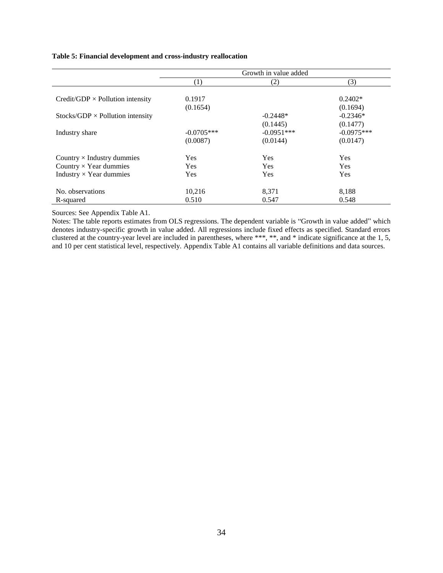### **Table 5: Financial development and cross-industry reallocation**

|                                         | Growth in value added |              |              |  |  |
|-----------------------------------------|-----------------------|--------------|--------------|--|--|
|                                         | (1)                   | (2)          | (3)          |  |  |
| $Credit/GDP \times Pollution$ intensity | 0.1917                |              | $0.2402*$    |  |  |
|                                         | (0.1654)              |              | (0.1694)     |  |  |
| $Stocks/GDP \times Pollution$ intensity |                       | $-0.2448*$   | $-0.2346*$   |  |  |
|                                         |                       | (0.1445)     | (0.1477)     |  |  |
| Industry share                          | $-0.0705***$          | $-0.0951***$ | $-0.0975***$ |  |  |
|                                         | (0.0087)              | (0.0144)     | (0.0147)     |  |  |
| Country $\times$ Industry dummies       | <b>Yes</b>            | Yes          | <b>Yes</b>   |  |  |
| Country $\times$ Year dummies           | <b>Yes</b>            | Yes          | Yes          |  |  |
| Industry $\times$ Year dummies          | <b>Yes</b>            | Yes          | Yes          |  |  |
| No. observations                        | 10,216                | 8,371        | 8,188        |  |  |
| R-squared                               | 0.510                 | 0.547        | 0.548        |  |  |

Sources: See Appendix Table A1.

Notes: The table reports estimates from OLS regressions. The dependent variable is "Growth in value added" which denotes industry-specific growth in value added. All regressions include fixed effects as specified. Standard errors clustered at the country-year level are included in parentheses, where \*\*\*, \*\*, and \* indicate significance at the 1, 5, and 10 per cent statistical level, respectively. Appendix Table A1 contains all variable definitions and data sources.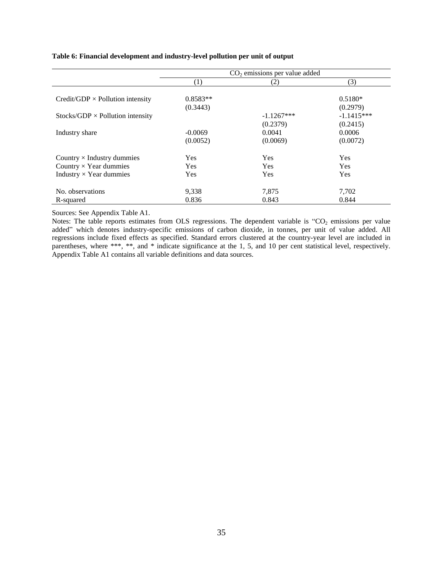|                                         | $CO2$ emissions per value added |              |              |  |  |
|-----------------------------------------|---------------------------------|--------------|--------------|--|--|
|                                         | (1)                             | (2)          | (3)          |  |  |
| Credit/GDP $\times$ Pollution intensity | $0.8583**$                      |              | $0.5180*$    |  |  |
|                                         | (0.3443)                        |              | (0.2979)     |  |  |
| $Stocks/GDP \times Pollution$ intensity |                                 | $-1.1267***$ | $-1.1415***$ |  |  |
|                                         |                                 | (0.2379)     | (0.2415)     |  |  |
| Industry share                          | $-0.0069$                       | 0.0041       | 0.0006       |  |  |
|                                         | (0.0052)                        | (0.0069)     | (0.0072)     |  |  |
| Country $\times$ Industry dummies       | <b>Yes</b>                      | Yes          | <b>Yes</b>   |  |  |
| Country $\times$ Year dummies           | Yes                             | Yes          | Yes          |  |  |
| Industry $\times$ Year dummies          | <b>Yes</b>                      | Yes          | Yes          |  |  |
| No. observations                        | 9.338                           | 7,875        | 7,702        |  |  |
| R-squared                               | 0.836                           | 0.843        | 0.844        |  |  |

#### **Table 6: Financial development and industry-level pollution per unit of output**

Sources: See Appendix Table A1.

Notes: The table reports estimates from OLS regressions. The dependent variable is " $CO<sub>2</sub>$  emissions per value added" which denotes industry-specific emissions of carbon dioxide, in tonnes, per unit of value added. All regressions include fixed effects as specified. Standard errors clustered at the country-year level are included in parentheses, where \*\*\*, \*\*, and \* indicate significance at the 1, 5, and 10 per cent statistical level, respectively. Appendix Table A1 contains all variable definitions and data sources.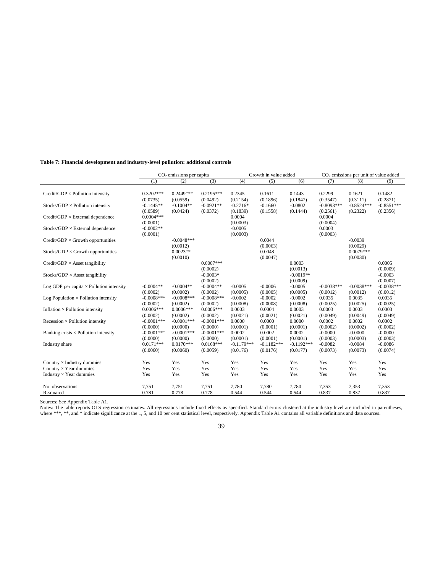#### **Table 7: Financial development and industry-level pollution: additional controls**

|                                                 | CO <sub>2</sub> emissions per capital |                          |                          | Growth in value added |                       |                       | CO <sub>2</sub> emissions per unit of value added |                    |                          |
|-------------------------------------------------|---------------------------------------|--------------------------|--------------------------|-----------------------|-----------------------|-----------------------|---------------------------------------------------|--------------------|--------------------------|
|                                                 | (1)                                   | (2)                      | (3)                      | (4)                   | (5)                   | (6)                   | (7)                                               | (8)                | (9)                      |
|                                                 |                                       |                          |                          |                       |                       |                       |                                                   |                    |                          |
| $Credit/GDP \times Pollution$ intensity         | $0.3202***$                           | $0.2449***$              | $0.2195***$              | 0.2345                | 0.1611                | 0.1443                | 0.2299                                            | 0.1621             | 0.1482                   |
|                                                 | (0.0735)                              | (0.0559)                 | (0.0492)                 | (0.2154)              | (0.1896)              | (0.1847)              | (0.3547)                                          | (0.3111)           | (0.2871)                 |
| $Stocks/GDP \times Pollution$ intensity         | $-0.1445**$                           | $-0.1004**$              | $-0.0921**$              | $-0.2716*$            | $-0.1660$             | $-0.0802$             | $-0.8093***$                                      | $-0.8524***$       | $-0.8551***$             |
|                                                 | (0.0589)                              | (0.0424)                 | (0.0372)                 | (0.1839)              | (0.1558)              | (0.1444)              | (0.2561)                                          | (0.2322)           | (0.2356)                 |
| $Credit/GDP \times External$ dependence         | $0.0004***$                           |                          |                          | 0.0004                |                       |                       | 0.0004                                            |                    |                          |
|                                                 | (0.0001)                              |                          |                          | (0.0003)              |                       |                       | (0.0004)                                          |                    |                          |
| $Stocks/GDP \times External$ dependence         | $-0.0002**$                           |                          |                          | $-0.0005$             |                       |                       | 0.0003                                            |                    |                          |
|                                                 | (0.0001)                              |                          |                          | (0.0003)              |                       |                       | (0.0003)                                          |                    |                          |
| Credit/GDP $\times$ Growth opportunities        |                                       | $-0.0048***$             |                          |                       | 0.0044                |                       |                                                   | $-0.0039$          |                          |
|                                                 |                                       | (0.0012)                 |                          |                       | (0.0063)              |                       |                                                   | (0.0029)           |                          |
| $Stocks/GDP \times Growth$ opportunities        |                                       | $0.0023**$               |                          |                       | 0.0048                |                       |                                                   | $0.0079***$        |                          |
|                                                 |                                       | (0.0010)                 |                          |                       | (0.0047)              |                       |                                                   | (0.0030)           |                          |
| $Credit/GDP \times Asset\,$ tangibility         |                                       |                          | $0.0007***$              |                       |                       | 0.0003                |                                                   |                    | 0.0005                   |
|                                                 |                                       |                          | (0.0002)                 |                       |                       | (0.0013)              |                                                   |                    | (0.0009)                 |
| $Stocks/GDP \times Asset\,$ tangibility         |                                       |                          | $-0.0003*$               |                       |                       | $-0.0019**$           |                                                   |                    | $-0.0003$                |
|                                                 | $-0.0004**$                           | $-0.0004**$              | (0.0002)<br>$-0.0004**$  | $-0.0005$             | $-0.0006$             | (0.0009)<br>$-0.0005$ | $-0.0038***$                                      | $-0.0038***$       | (0.0007)<br>$-0.0038***$ |
| Log GDP per capita $\times$ Pollution intensity |                                       |                          |                          |                       |                       |                       |                                                   |                    |                          |
|                                                 | (0.0002)<br>$-0.0008***$              | (0.0002)<br>$-0.0008***$ | (0.0002)<br>$-0.0008***$ | (0.0005)<br>$-0.0002$ | (0.0005)<br>$-0.0002$ | (0.0005)<br>$-0.0002$ | (0.0012)<br>0.0035                                | (0.0012)<br>0.0035 | (0.0012)<br>0.0035       |
| Log Population $\times$ Pollution intensity     | (0.0002)                              | (0.0002)                 | (0.0002)                 | (0.0008)              | (0.0008)              | (0.0008)              | (0.0025)                                          | (0.0025)           | (0.0025)                 |
| Inflation $\times$ Pollution intensity          | $0.0006***$                           | $0.0006***$              | $0.0006***$              | 0.0003                | 0.0004                | 0.0003                | 0.0003                                            | 0.0003             | 0.0003                   |
|                                                 | (0.0002)                              | (0.0002)                 | (0.0002)                 | (0.0021)              | (0.0021)              | (0.0021)              | (0.0049)                                          | (0.0049)           | (0.0049)                 |
| Recession $\times$ Pollution intensity          | $-0.0001***$                          | $-0.0001***$             | $-0.0001***$             | 0.0000                | 0.0000                | 0.0000                | 0.0002                                            | 0.0002             | 0.0002                   |
|                                                 | (0.0000)                              | (0.0000)                 | (0.0000)                 | (0.0001)              | (0.0001)              | (0.0001)              | (0.0002)                                          | (0.0002)           | (0.0002)                 |
| Banking crisis $\times$ Pollution intensity     | $-0.0001***$                          | $-0.0001***$             | $-0.0001***$             | 0.0002                | 0.0002                | 0.0002                | $-0.0000$                                         | $-0.0000$          | $-0.0000$                |
|                                                 | (0.0000)                              | (0.0000)                 | (0.0000)                 | (0.0001)              | (0.0001)              | (0.0001)              | (0.0003)                                          | (0.0003)           | (0.0003)                 |
| Industry share                                  | $0.0171***$                           | $0.0170***$              | $0.0168***$              | $-0.1179***$          | $-0.1182***$          | $-0.1192***$          | $-0.0082$                                         | $-0.0084$          | $-0.0086$                |
|                                                 | (0.0060)                              | (0.0060)                 | (0.0059)                 | (0.0176)              | (0.0176)              | (0.0177)              | (0.0073)                                          | (0.0073)           | (0.0074)                 |
|                                                 |                                       |                          |                          |                       |                       |                       |                                                   |                    |                          |
| Country $\times$ Industry dummies               | Yes                                   | Yes                      | Yes                      | Yes                   | Yes                   | Yes                   | Yes                                               | Yes                | Yes                      |
| Country $\times$ Year dummies                   | Yes                                   | Yes                      | Yes                      | Yes                   | Yes                   | Yes                   | Yes                                               | Yes                | Yes                      |
| Industry $\times$ Year dummies                  | Yes                                   | Yes                      | Yes                      | Yes                   | Yes                   | Yes                   | Yes                                               | Yes                | Yes                      |
|                                                 |                                       |                          |                          |                       |                       |                       |                                                   |                    |                          |
| No. observations                                | 7,751                                 | 7,751                    | 7,751                    | 7,780                 | 7,780                 | 7,780                 | 7,353                                             | 7,353              | 7,353                    |
| R-squared                                       | 0.781                                 | 0.778                    | 0.778                    | 0.544                 | 0.544                 | 0.544                 | 0.837                                             | 0.837              | 0.837                    |
|                                                 |                                       |                          |                          |                       |                       |                       |                                                   |                    |                          |

Sources: See Appendix Table A1.<br>Notes: The table reports OLS regression estimates. All regressions include fixed effects as specified. Standard errors clustered at the industry level are included in parentheses,<br>where \*\*\*,

39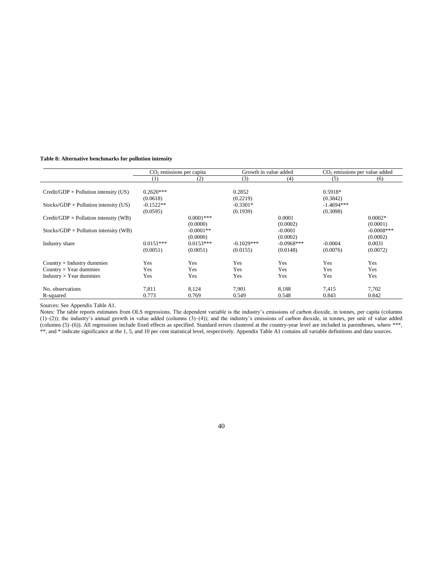#### **Table 8: Alternative benchmarks for pollution intensity**

|                                              | $CO2$ emissions per capita |                          | Growth in value added |                    | CO <sub>2</sub> emissions per value added |                       |
|----------------------------------------------|----------------------------|--------------------------|-----------------------|--------------------|-------------------------------------------|-----------------------|
|                                              | (1)                        | (2)                      | (3)                   | (4)                | (5)                                       | (6)                   |
| $Credit/GDP \times Pollution$ intensity (US) | $0.2620***$                |                          | 0.2852                |                    | 0.5918*                                   |                       |
|                                              | (0.0618)                   |                          | (0.2219)              |                    | (0.3842)                                  |                       |
| Stocks/GDP $\times$ Pollution intensity (US) | $-0.1522**$                |                          | $-0.3301*$            |                    | $-1.4694***$                              |                       |
|                                              | (0.0595)                   |                          | (0.1939)              |                    | (0.3098)                                  |                       |
| $Credit/GDP \times Pollution$ intensity (WB) |                            | $0.0001$ ***<br>(0.0000) |                       | 0.0001<br>(0.0002) |                                           | $0.0002*$<br>(0.0001) |
| Stocks/GDP $\times$ Pollution intensity (WB) |                            | $-0.0001**$              |                       | $-0.0001$          |                                           | $-0.0008***$          |
|                                              |                            | (0.0000)                 |                       | (0.0002)           |                                           | (0.0002)              |
| Industry share                               | $0.0151***$                | $0.0153***$              | $-0.1029***$          | $-0.0968***$       | $-0.0004$                                 | 0.0031                |
|                                              | (0.0051)                   | (0.0051)                 | (0.0155)              | (0.0148)           | (0.0076)                                  | (0.0072)              |
| Country $\times$ Industry dummies            | Yes                        | Yes                      | Yes                   | Yes                | Yes                                       | Yes                   |
| Country $\times$ Year dummies                | Yes                        | Yes                      | Yes                   | Yes                | Yes                                       | Yes                   |
| Industry $\times$ Year dummies               | Yes                        | Yes                      | Yes                   | Yes                | Yes                                       | Yes                   |
| No. observations                             | 7.811                      | 8,124                    | 7.901                 | 8.188              | 7.415                                     | 7,702                 |
| R-squared                                    | 0.773                      | 0.769                    | 0.549                 | 0.548              | 0.843                                     | 0.842                 |

Sources: See Appendix Table A1.

Notes: The table reports estimates from OLS regressions. The dependent variable is the industry's emissions of carbon dioxide, in tonnes, per capita (columns  $(1)$ –(2)); the industry's annual growth in value added (columns  $(3)$ – $(4)$ ); and the industry's emissions of carbon dioxide, in tonnes, per unit of value added (columns (5)–(6)). All regressions include fixed effects as specified. Standard errors clustered at the country-year level are included in parentheses, where \*\*\*, \*\*, and \* indicate significance at the 1, 5, and 10 per cent statistical level, respectively. Appendix Table A1 contains all variable definitions and data sources.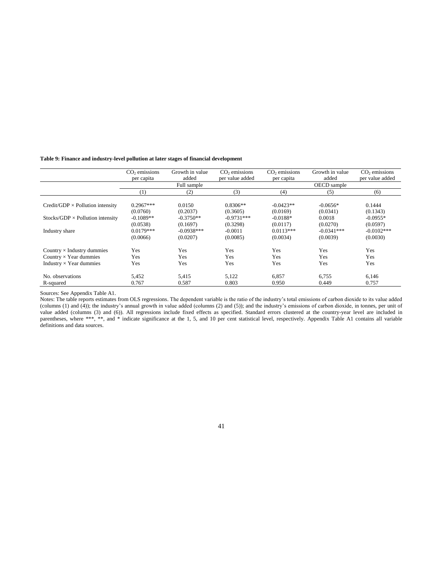#### **Table 9: Finance and industry-level pollution at later stages of financial development**

|                                         | $CO2$ emissions<br>per capita | Growth in value<br>added | $CO2$ emissions<br>per value added | $CO2$ emissions<br>per capita | Growth in value<br>added | $CO2$ emissions<br>per value added |
|-----------------------------------------|-------------------------------|--------------------------|------------------------------------|-------------------------------|--------------------------|------------------------------------|
|                                         |                               | Full sample              |                                    |                               | OECD sample              |                                    |
|                                         | (1)                           | (2)                      | (3)                                | (4)                           | (5)                      | (6)                                |
|                                         |                               |                          |                                    |                               |                          |                                    |
| $Credit/GDP \times Pollution$ intensity | $0.2967***$                   | 0.0150                   | $0.8306**$                         | $-0.0423**$                   | $-0.0656*$               | 0.1444                             |
|                                         | (0.0760)                      | (0.2037)                 | (0.3605)                           | (0.0169)                      | (0.0341)                 | (0.1343)                           |
| $Stocks/GDP \times Pollution$ intensity | $-0.1089**$                   | $-0.3750**$              | $-0.9731***$                       | $-0.0188*$                    | 0.0018                   | $-0.0955*$                         |
|                                         | (0.0538)                      | (0.1697)                 | (0.3298)                           | (0.0117)                      | (0.0270)                 | (0.0597)                           |
| Industry share                          | $0.0179***$                   | $-0.0938***$             | $-0.0011$                          | $0.0113***$                   | $-0.0341***$             | $-0.0102***$                       |
|                                         | (0.0066)                      | (0.0207)                 | (0.0085)                           | (0.0034)                      | (0.0039)                 | (0.0030)                           |
| Country $\times$ Industry dummies       | Yes                           | Yes                      | Yes                                | Yes                           | Yes                      | Yes                                |
| Country $\times$ Year dummies           | Yes                           | Yes                      | Yes                                | Yes                           | Yes                      | Yes                                |
| Industry $\times$ Year dummies          | Yes                           | Yes                      | Yes                                | Yes                           | Yes                      | Yes                                |
| No. observations                        | 5,452                         | 5,415                    | 5,122                              | 6.857                         | 6,755                    | 6,146                              |
| R-squared                               | 0.767                         | 0.587                    | 0.803                              | 0.950                         | 0.449                    | 0.757                              |

Sources: See Appendix Table A1.

Notes: The table reports estimates from OLS regressions. The dependent variable is the ratio of the industry's total emissions of carbon dioxide to its value added (columns (1) and (4)); the industry's annual growth in value added (columns (2) and (5)); and the industry's emissions of carbon dioxide, in tonnes, per unit of value added (columns (3) and (6)). All regressions include fixed effects as specified. Standard errors clustered at the country-year level are included in parentheses, where \*\*\*, \*\*, and \* indicate significance at the 1, 5, and 10 per cent statistical level, respectively. Appendix Table A1 contains all variable definitions and data sources.

#### 41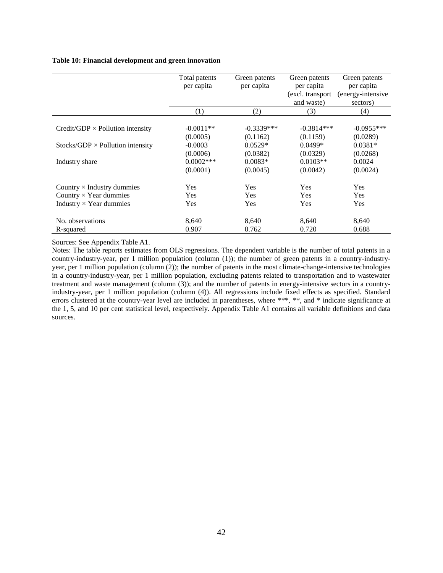#### **Table 10: Financial development and green innovation**

|                                         | Total patents<br>per capita         | Green patents<br>per capita       | Green patents<br>per capita<br>(excl. transport<br>and waste) | Green patents<br>per capita<br>(energy-intensive<br>sectors) |
|-----------------------------------------|-------------------------------------|-----------------------------------|---------------------------------------------------------------|--------------------------------------------------------------|
|                                         | (1)                                 | (2)                               | (3)                                                           | (4)                                                          |
| $Credit/GDP \times$ Pollution intensity | $-0.0011**$<br>(0.0005)             | $-0.3339***$<br>(0.1162)          | $-0.3814***$<br>(0.1159)                                      | $-0.0955***$<br>(0.0289)                                     |
| $Stocks/GDP \times Pollution$ intensity | $-0.0003$                           | $0.0529*$                         | $0.0499*$                                                     | $0.0381*$                                                    |
| Industry share                          | (0.0006)<br>$0.0002***$<br>(0.0001) | (0.0382)<br>$0.0083*$<br>(0.0045) | (0.0329)<br>$0.0103**$<br>(0.0042)                            | (0.0268)<br>0.0024<br>(0.0024)                               |
| Country $\times$ Industry dummies       | Yes                                 | <b>Yes</b>                        | <b>Yes</b>                                                    | <b>Yes</b>                                                   |
| Country $\times$ Year dummies           | <b>Yes</b>                          | <b>Yes</b>                        | <b>Yes</b>                                                    | Yes                                                          |
| Industry $\times$ Year dummies          | Yes                                 | <b>Yes</b>                        | <b>Yes</b>                                                    | Yes                                                          |
| No. observations<br>R-squared           | 8,640<br>0.907                      | 8,640<br>0.762                    | 8,640<br>0.720                                                | 8,640<br>0.688                                               |

Sources: See Appendix Table A1.

Notes: The table reports estimates from OLS regressions. The dependent variable is the number of total patents in a country-industry-year, per 1 million population (column (1)); the number of green patents in a country-industryyear, per 1 million population (column (2)); the number of patents in the most climate-change-intensive technologies in a country-industry-year, per 1 million population, excluding patents related to transportation and to wastewater treatment and waste management (column (3)); and the number of patents in energy-intensive sectors in a countryindustry-year, per 1 million population (column (4)). All regressions include fixed effects as specified. Standard errors clustered at the country-year level are included in parentheses, where \*\*\*, \*\*, and \* indicate significance at the 1, 5, and 10 per cent statistical level, respectively. Appendix Table A1 contains all variable definitions and data sources.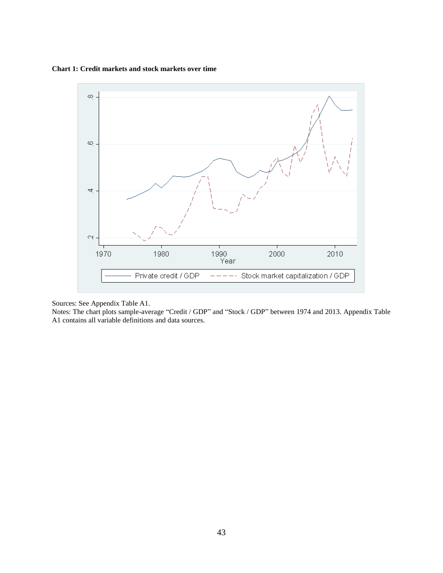**Chart 1: Credit markets and stock markets over time**



Sources: See Appendix Table A1.

Notes: The chart plots sample-average "Credit / GDP" and "Stock / GDP" between 1974 and 2013. Appendix Table A1 contains all variable definitions and data sources.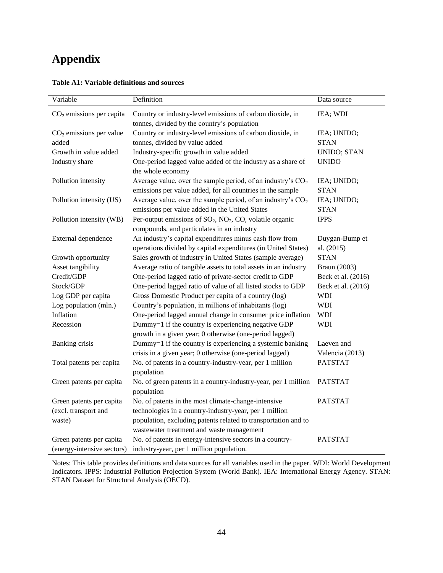# **Appendix**

| Variable                   | Definition                                                                                                               | Data source                  |
|----------------------------|--------------------------------------------------------------------------------------------------------------------------|------------------------------|
| $CO2$ emissions per capita | Country or industry-level emissions of carbon dioxide, in<br>tonnes, divided by the country's population                 | IEA; WDI                     |
| $CO2$ emissions per value  | Country or industry-level emissions of carbon dioxide, in                                                                | IEA; UNIDO;                  |
| added                      | tonnes, divided by value added                                                                                           | <b>STAN</b>                  |
| Growth in value added      | Industry-specific growth in value added                                                                                  | <b>UNIDO; STAN</b>           |
| Industry share             | One-period lagged value added of the industry as a share of<br>the whole economy                                         | <b>UNIDO</b>                 |
| Pollution intensity        | Average value, over the sample period, of an industry's $CO2$                                                            | IEA; UNIDO;                  |
|                            | emissions per value added, for all countries in the sample                                                               | <b>STAN</b>                  |
| Pollution intensity (US)   | Average value, over the sample period, of an industry's $CO2$                                                            | IEA; UNIDO;                  |
|                            | emissions per value added in the United States                                                                           | <b>STAN</b>                  |
| Pollution intensity (WB)   | Per-output emissions of $SO_2$ , $NO_2$ , $CO$ , volatile organic<br>compounds, and particulates in an industry          | <b>IPPS</b>                  |
| External dependence        | An industry's capital expenditures minus cash flow from<br>operations divided by capital expenditures (in United States) | Duygan-Bump et<br>al. (2015) |
| Growth opportunity         | Sales growth of industry in United States (sample average)                                                               | <b>STAN</b>                  |
| Asset tangibility          | Average ratio of tangible assets to total assets in an industry                                                          | Braun (2003)                 |
| Credit/GDP                 | One-period lagged ratio of private-sector credit to GDP                                                                  | Beck et al. (2016)           |
| Stock/GDP                  | One-period lagged ratio of value of all listed stocks to GDP                                                             | Beck et al. (2016)           |
| Log GDP per capita         | Gross Domestic Product per capita of a country (log)                                                                     | <b>WDI</b>                   |
| Log population (mln.)      | Country's population, in millions of inhabitants (log)                                                                   | <b>WDI</b>                   |
| Inflation                  | One-period lagged annual change in consumer price inflation                                                              | <b>WDI</b>                   |
| Recession                  | Dummy=1 if the country is experiencing negative GDP                                                                      | <b>WDI</b>                   |
|                            | growth in a given year; 0 otherwise (one-period lagged)                                                                  |                              |
| <b>Banking crisis</b>      | Dummy=1 if the country is experiencing a systemic banking                                                                | Laeven and                   |
|                            | crisis in a given year; 0 otherwise (one-period lagged)                                                                  | Valencia (2013)              |
| Total patents per capita   | No. of patents in a country-industry-year, per 1 million<br>population                                                   | <b>PATSTAT</b>               |
| Green patents per capita   | No. of green patents in a country-industry-year, per 1 million<br>population                                             | <b>PATSTAT</b>               |
| Green patents per capita   | No. of patents in the most climate-change-intensive                                                                      | <b>PATSTAT</b>               |
| (excl. transport and       | technologies in a country-industry-year, per 1 million                                                                   |                              |
| waste)                     | population, excluding patents related to transportation and to                                                           |                              |
|                            | wastewater treatment and waste management                                                                                |                              |
| Green patents per capita   | No. of patents in energy-intensive sectors in a country-                                                                 | <b>PATSTAT</b>               |
| (energy-intensive sectors) | industry-year, per 1 million population.                                                                                 |                              |

**Table A1: Variable definitions and sources**

Notes: This table provides definitions and data sources for all variables used in the paper. WDI: World Development Indicators. IPPS: Industrial Pollution Projection System (World Bank). IEA: International Energy Agency. STAN: STAN Dataset for Structural Analysis (OECD).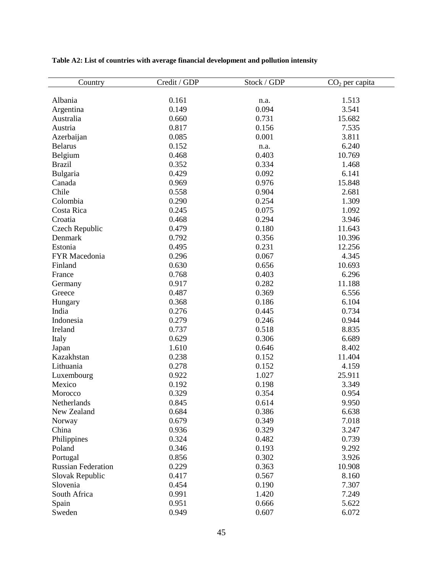| Country                   | Credit / GDP | Stock / GDP | $CO2$ per capita |
|---------------------------|--------------|-------------|------------------|
|                           |              |             |                  |
| Albania                   | 0.161        | n.a.        | 1.513            |
| Argentina                 | 0.149        | 0.094       | 3.541            |
| Australia                 | 0.660        | 0.731       | 15.682           |
| Austria                   | 0.817        | 0.156       | 7.535            |
| Azerbaijan                | 0.085        | 0.001       | 3.811            |
| <b>Belarus</b>            | 0.152        | n.a.        | 6.240            |
| Belgium                   | 0.468        | 0.403       | 10.769           |
| <b>Brazil</b>             | 0.352        | 0.334       | 1.468            |
| Bulgaria                  | 0.429        | 0.092       | 6.141            |
| Canada                    | 0.969        | 0.976       | 15.848           |
| Chile                     | 0.558        | 0.904       | 2.681            |
| Colombia                  | 0.290        | 0.254       | 1.309            |
| Costa Rica                | 0.245        | 0.075       | 1.092            |
| Croatia                   | 0.468        | 0.294       | 3.946            |
| Czech Republic            | 0.479        | 0.180       | 11.643           |
| Denmark                   | 0.792        | 0.356       | 10.396           |
| Estonia                   | 0.495        | 0.231       | 12.256           |
| <b>FYR</b> Macedonia      | 0.296        | 0.067       | 4.345            |
| Finland                   | 0.630        | 0.656       | 10.693           |
| France                    | 0.768        | 0.403       | 6.296            |
| Germany                   | 0.917        | 0.282       | 11.188           |
| Greece                    | 0.487        | 0.369       | 6.556            |
| Hungary                   | 0.368        | 0.186       | 6.104            |
| India                     | 0.276        | 0.445       | 0.734            |
| Indonesia                 | 0.279        | 0.246       | 0.944            |
| Ireland                   | 0.737        | 0.518       | 8.835            |
| Italy                     | 0.629        | 0.306       | 6.689            |
| Japan                     | 1.610        | 0.646       | 8.402            |
| Kazakhstan                | 0.238        | 0.152       | 11.404           |
| Lithuania                 | 0.278        | 0.152       | 4.159            |
| Luxembourg                | 0.922        | 1.027       | 25.911           |
| Mexico                    | 0.192        | 0.198       | 3.349            |
| Morocco                   | 0.329        | 0.354       | 0.954            |
| Netherlands               | 0.845        | 0.614       | 9.950            |
| New Zealand               | 0.684        | 0.386       | 6.638            |
| Norway                    | 0.679        | 0.349       | 7.018            |
| China                     | 0.936        | 0.329       | 3.247            |
| Philippines               | 0.324        | 0.482       | 0.739            |
| Poland                    | 0.346        | 0.193       | 9.292            |
| Portugal                  | 0.856        | 0.302       | 3.926            |
| <b>Russian Federation</b> | 0.229        | 0.363       | 10.908           |
| Slovak Republic           | 0.417        | 0.567       | 8.160            |
| Slovenia                  | 0.454        | 0.190       | 7.307            |
| South Africa              | 0.991        | 1.420       | 7.249            |
| Spain                     | 0.951        | 0.666       | 5.622            |
| Sweden                    | 0.949        | 0.607       | 6.072            |
|                           |              |             |                  |

# **Table A2: List of countries with average financial development and pollution intensity**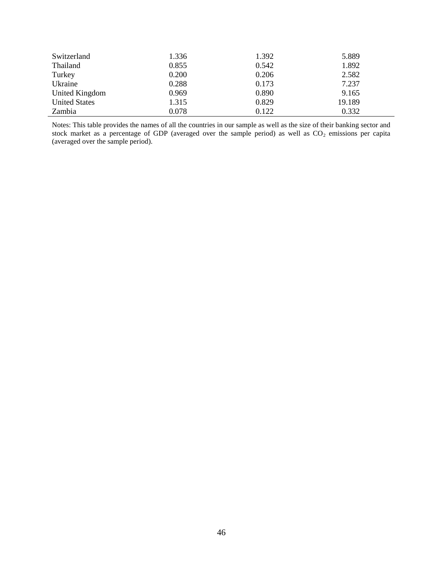| Switzerland          | 1.336 | 1.392 | 5.889  |
|----------------------|-------|-------|--------|
| Thailand             | 0.855 | 0.542 | 1.892  |
| Turkey               | 0.200 | 0.206 | 2.582  |
| Ukraine              | 0.288 | 0.173 | 7.237  |
| United Kingdom       | 0.969 | 0.890 | 9.165  |
| <b>United States</b> | 1.315 | 0.829 | 19.189 |
| Zambia               | 0.078 | 0.122 | 0.332  |

Notes: This table provides the names of all the countries in our sample as well as the size of their banking sector and stock market as a percentage of GDP (averaged over the sample period) as well as  $CO<sub>2</sub>$  emissions per capita (averaged over the sample period).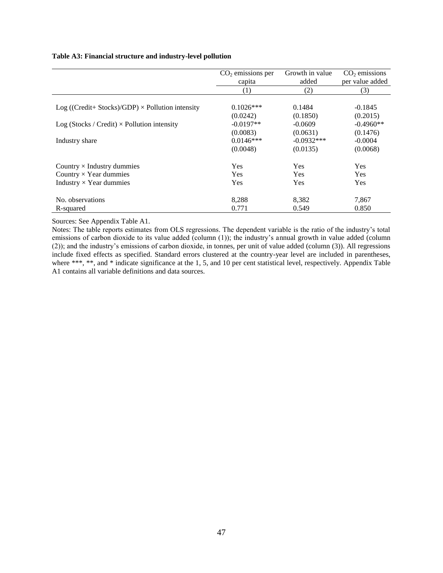#### **Table A3: Financial structure and industry-level pollution**

|                                                        | $CO2$ emissions per | Growth in value | $CO2$ emissions |
|--------------------------------------------------------|---------------------|-----------------|-----------------|
|                                                        | capita              | added           | per value added |
|                                                        | (1)                 | (2)             | (3)             |
|                                                        |                     |                 |                 |
| $Log ((Credit+Stocks)/GDP) \times Pollution$ intensity | $0.1026***$         | 0.1484          | $-0.1845$       |
|                                                        | (0.0242)            | (0.1850)        | (0.2015)        |
| Log (Stocks / Credit) $\times$ Pollution intensity     | $-0.0197**$         | $-0.0609$       | $-0.4960**$     |
|                                                        | (0.0083)            | (0.0631)        | (0.1476)        |
| Industry share                                         | $0.0146***$         | $-0.0932***$    | $-0.0004$       |
|                                                        | (0.0048)            | (0.0135)        | (0.0068)        |
| Country $\times$ Industry dummies                      | <b>Yes</b>          | Yes             | <b>Yes</b>      |
| Country $\times$ Year dummies                          | Yes                 | <b>Yes</b>      | Yes             |
| Industry $\times$ Year dummies                         | Yes                 | Yes             | Yes             |
| No. observations                                       | 8,288               | 8,382           | 7,867           |
| R-squared                                              | 0.771               | 0.549           | 0.850           |

#### Sources: See Appendix Table A1.

Notes: The table reports estimates from OLS regressions. The dependent variable is the ratio of the industry's total emissions of carbon dioxide to its value added (column (1)); the industry's annual growth in value added (column (2)); and the industry's emissions of carbon dioxide, in tonnes, per unit of value added (column (3)). All regressions include fixed effects as specified. Standard errors clustered at the country-year level are included in parentheses, where \*\*\*, \*\*, and \* indicate significance at the 1, 5, and 10 per cent statistical level, respectively. Appendix Table A1 contains all variable definitions and data sources.